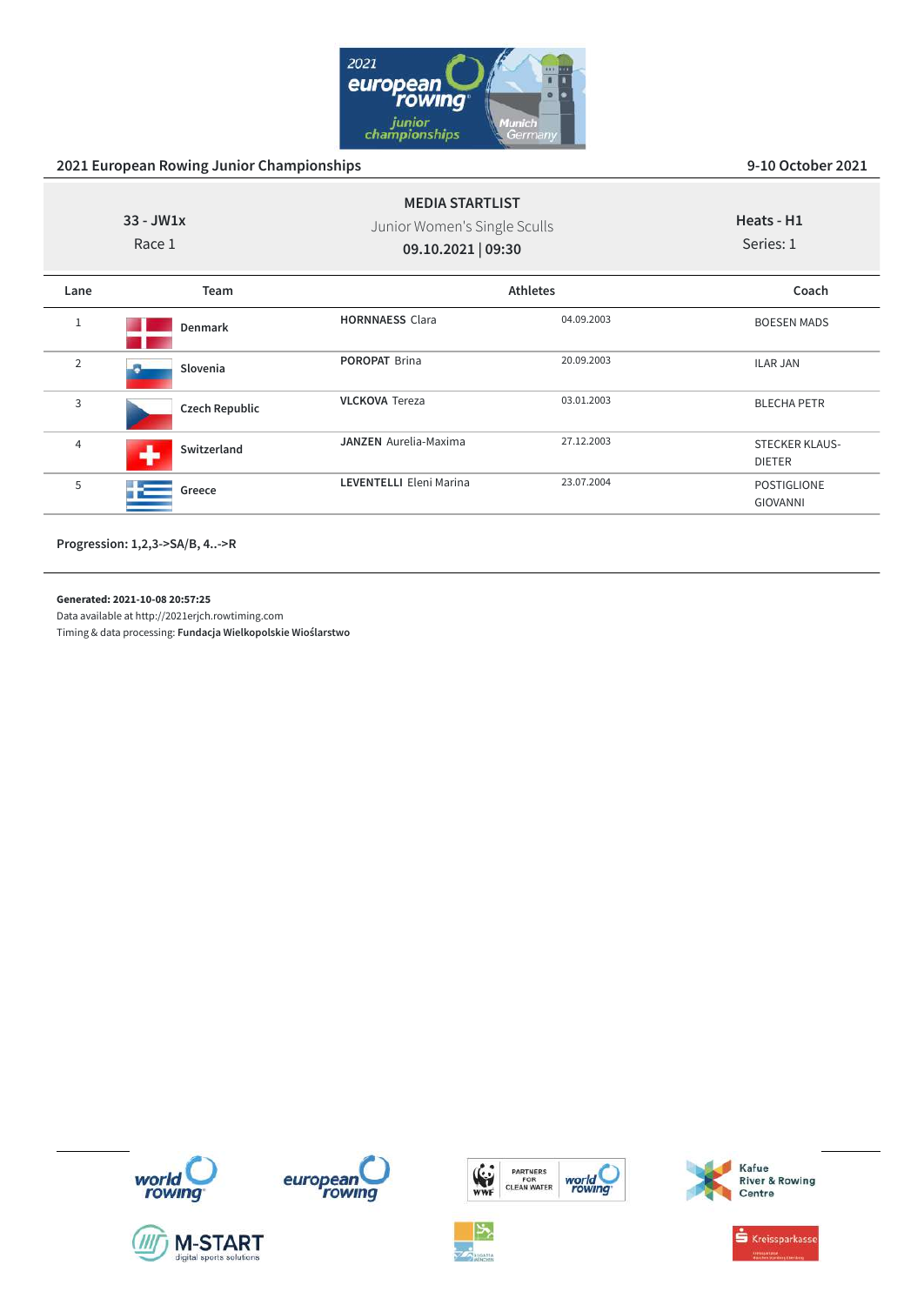

|                | $33 - JW1x$<br>Race 1 | <b>MEDIA STARTLIST</b><br>Junior Women's Single Sculls<br>09.10.2021   09:30 |                 | Heats - H1<br>Series: 1                |
|----------------|-----------------------|------------------------------------------------------------------------------|-----------------|----------------------------------------|
| Lane           | Team                  |                                                                              | <b>Athletes</b> | Coach                                  |
|                | Denmark               | <b>HORNNAESS Clara</b>                                                       | 04.09.2003      | <b>BOESEN MADS</b>                     |
| $\overline{2}$ | Slovenia              | <b>POROPAT Brina</b>                                                         | 20.09.2003      | <b>ILAR JAN</b>                        |
| 3              | <b>Czech Republic</b> | <b>VLCKOVA Tereza</b>                                                        | 03.01.2003      | <b>BLECHA PETR</b>                     |
| 4              | Switzerland<br>a.     | <b>JANZEN</b> Aurelia-Maxima                                                 | 27.12.2003      | <b>STECKER KLAUS-</b><br><b>DIETER</b> |
| 5              | Greece                | LEVENTELLI Eleni Marina                                                      | 23.07.2004      | <b>POSTIGLIONE</b><br><b>GIOVANNI</b>  |

**Progression: 1,2,3->SA/B, 4..->R**

**Generated: 2021-10-08 20:57:25**

Data available at http://2021erjch.rowtiming.com Timing & data processing: **Fundacja Wielkopolskie Wioślarstwo**













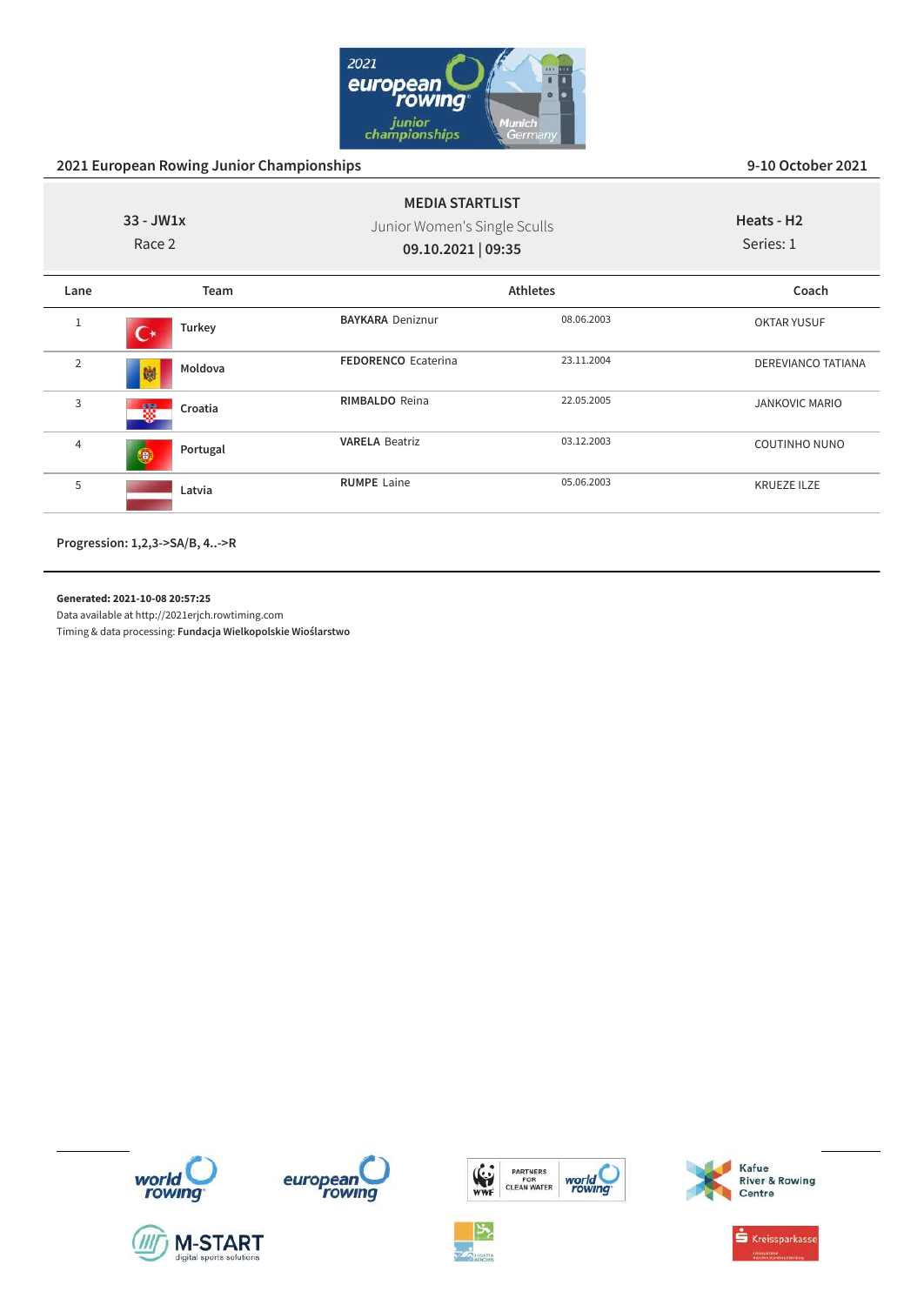

| $33 - JW1x$<br>Race 2 |                | <b>MEDIA STARTLIST</b><br>Junior Women's Single Sculls<br>09.10.2021   09:35 |                 | Heats - H <sub>2</sub><br>Series: 1 |
|-----------------------|----------------|------------------------------------------------------------------------------|-----------------|-------------------------------------|
| Lane                  | Team           |                                                                              | <b>Athletes</b> | Coach                               |
| $\mathbf{1}$          | Turkey         | <b>BAYKARA Deniznur</b>                                                      | 08.06.2003      | <b>OKTAR YUSUF</b>                  |
| $\overline{2}$        | Moldova<br>孏   | <b>FEDORENCO Ecaterina</b>                                                   | 23.11.2004      | <b>DEREVIANCO TATIANA</b>           |
| 3                     | Croatia<br>磱   | <b>RIMBALDO</b> Reina                                                        | 22.05.2005      | <b>JANKOVIC MARIO</b>               |
| 4                     | Portugal<br>O, | <b>VARELA Beatriz</b>                                                        | 03.12.2003      | <b>COUTINHO NUNO</b>                |
| 5                     | Latvia         | <b>RUMPE</b> Laine                                                           | 05.06.2003      | <b>KRUEZE ILZE</b>                  |
|                       |                |                                                                              |                 |                                     |

**Progression: 1,2,3->SA/B, 4..->R**

**Generated: 2021-10-08 20:57:25**

Data available at http://2021erjch.rowtiming.com

















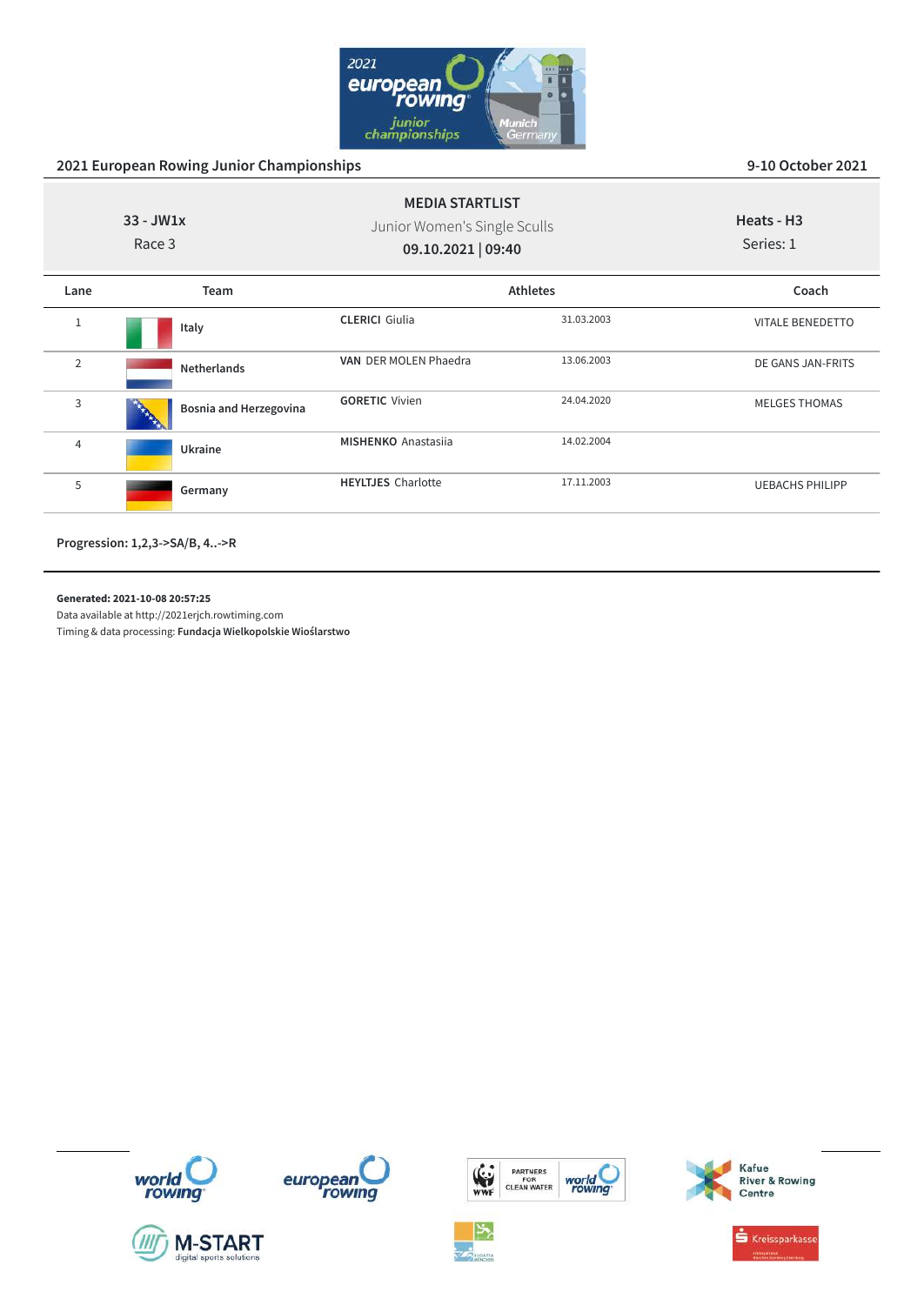

| $33 - JW1x$<br>Race 3 |                        | <b>MEDIA STARTLIST</b><br>Junior Women's Single Sculls<br>09.10.2021   09:40 |                 | Heats - H <sub>3</sub><br>Series: 1 |  |
|-----------------------|------------------------|------------------------------------------------------------------------------|-----------------|-------------------------------------|--|
| Lane                  | Team                   |                                                                              | <b>Athletes</b> | Coach                               |  |
| 1                     | Italy                  | <b>CLERICI</b> Giulia                                                        | 31.03.2003      | <b>VITALE BENEDETTO</b>             |  |
| 2                     | <b>Netherlands</b>     | VAN DER MOLEN Phaedra                                                        | 13.06.2003      | DE GANS JAN-FRITS                   |  |
| 3                     | Bosnia and Herzegovina | <b>GORETIC Vivien</b>                                                        | 24.04.2020      | <b>MELGES THOMAS</b>                |  |
| $\overline{4}$        | Ukraine                | <b>MISHENKO</b> Anastasija                                                   | 14.02.2004      |                                     |  |
| 5                     | Germany                | <b>HEYLTJES</b> Charlotte                                                    | 17.11.2003      | <b>UEBACHS PHILIPP</b>              |  |
|                       |                        |                                                                              |                 |                                     |  |

**Progression: 1,2,3->SA/B, 4..->R**

**Generated: 2021-10-08 20:57:25**

Data available at http://2021erjch.rowtiming.com













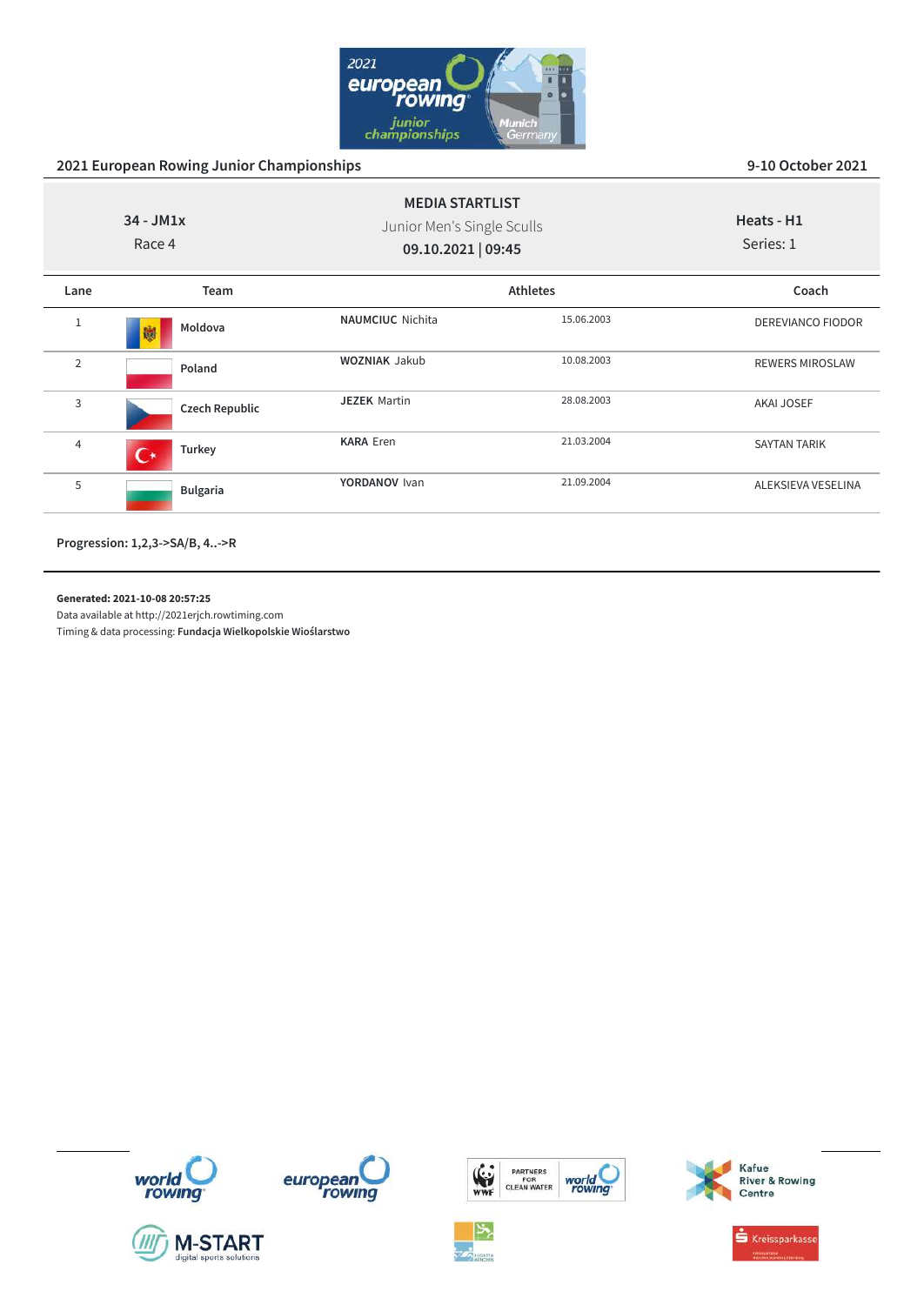

| $34 - JM1x$<br>Race 4 |                       | <b>MEDIA STARTLIST</b><br>Junior Men's Single Sculls<br>09.10.2021   09:45 |                 | Heats - H1<br>Series: 1 |
|-----------------------|-----------------------|----------------------------------------------------------------------------|-----------------|-------------------------|
| Lane                  | Team                  |                                                                            | <b>Athletes</b> | Coach                   |
| 1                     | Moldova<br>懒          | <b>NAUMCIUC</b> Nichita                                                    | 15.06.2003      | DEREVIANCO FIODOR       |
| $\overline{2}$        | Poland                | <b>WOZNIAK Jakub</b>                                                       | 10.08.2003      | <b>REWERS MIROSLAW</b>  |
| 3                     | <b>Czech Republic</b> | <b>JEZEK Martin</b>                                                        | 28.08.2003      | AKAI JOSEF              |
| 4                     | Turkey<br>$\Gamma^*$  | <b>KARA Eren</b>                                                           | 21.03.2004      | <b>SAYTAN TARIK</b>     |
| 5                     | <b>Bulgaria</b>       | YORDANOV Ivan                                                              | 21.09.2004      | ALEKSIEVA VESELINA      |

**Progression: 1,2,3->SA/B, 4..->R**

**Generated: 2021-10-08 20:57:25**

Data available at http://2021erjch.rowtiming.com Timing & data processing: **Fundacja Wielkopolskie Wioślarstwo**



**M-START** 









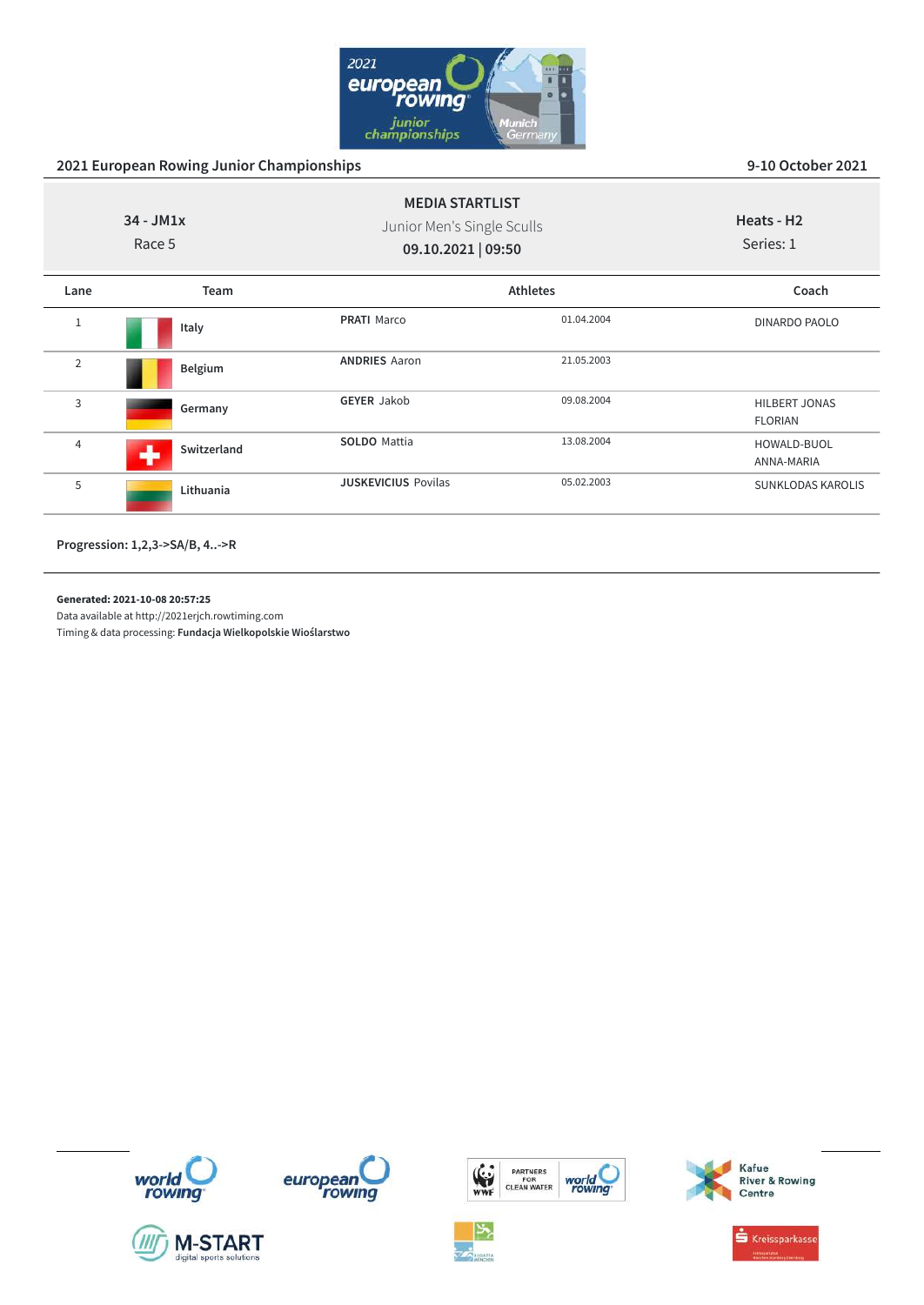

| $34 - JM1x$<br>Race 5 |             | <b>MEDIA STARTLIST</b><br>Junior Men's Single Sculls<br>09.10.2021   09:50 |                 | Heats - H <sub>2</sub><br>Series: 1    |
|-----------------------|-------------|----------------------------------------------------------------------------|-----------------|----------------------------------------|
| Lane                  | Team        |                                                                            | <b>Athletes</b> | Coach                                  |
| $\mathbf{1}$          | Italy       | <b>PRATI</b> Marco                                                         | 01.04.2004      | DINARDO PAOLO                          |
| $\overline{2}$        | Belgium     | <b>ANDRIES Aaron</b>                                                       | 21.05.2003      |                                        |
| 3                     | Germany     | <b>GEYER Jakob</b>                                                         | 09.08.2004      | <b>HILBERT JONAS</b><br><b>FLORIAN</b> |
| $\overline{4}$        | Switzerland | <b>SOLDO</b> Mattia                                                        | 13.08.2004      | HOWALD-BUOL<br>ANNA-MARIA              |
| 5                     | Lithuania   | <b>JUSKEVICIUS Povilas</b>                                                 | 05.02.2003      | <b>SUNKLODAS KAROLIS</b>               |

**Progression: 1,2,3->SA/B, 4..->R**

**Generated: 2021-10-08 20:57:25**

Data available at http://2021erjch.rowtiming.com Timing & data processing: **Fundacja Wielkopolskie Wioślarstwo**













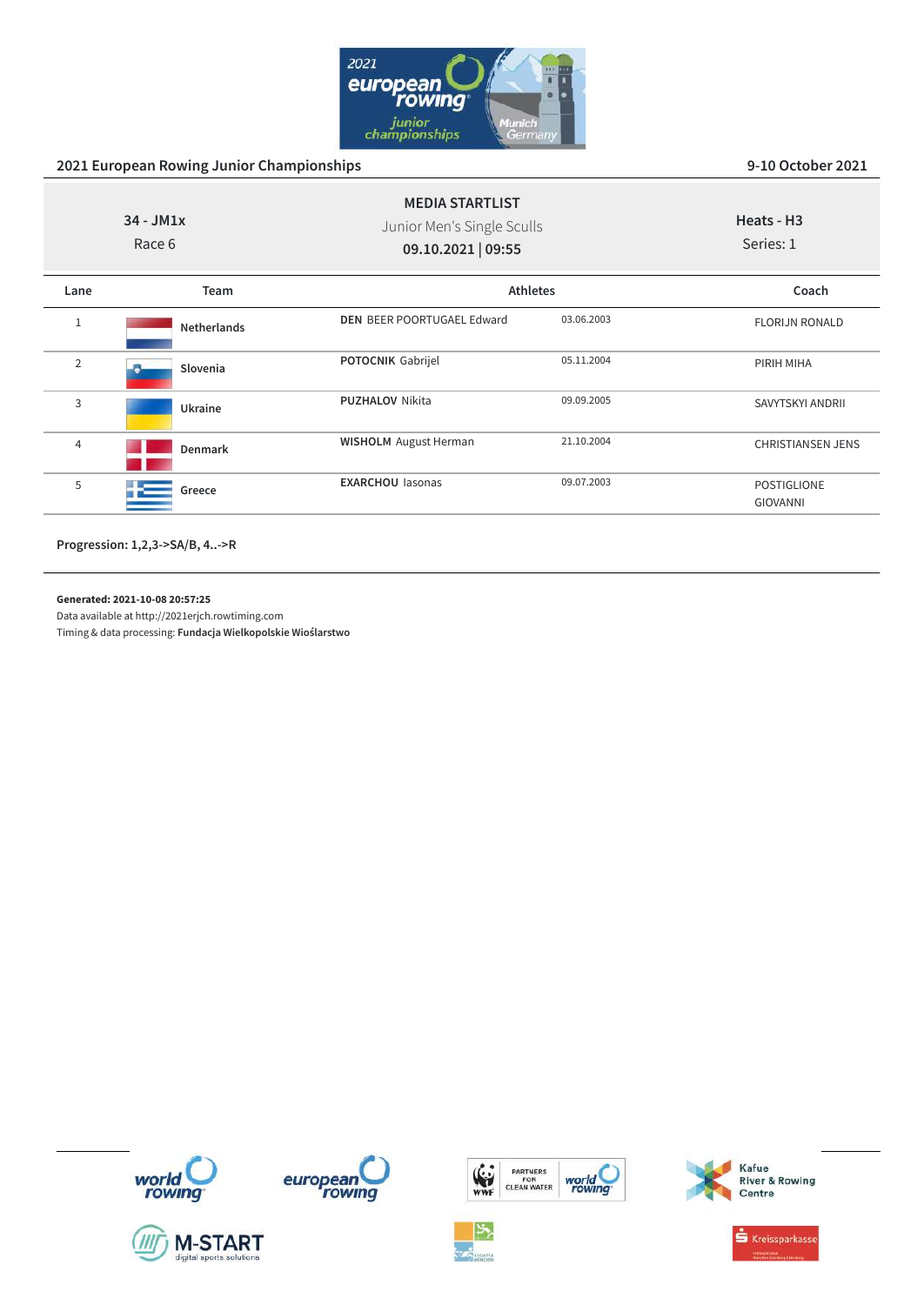

| $34 - JM1x$<br>Race 6 |                    | <b>MEDIA STARTLIST</b><br>Junior Men's Single Sculls<br>09.10.2021   09:55 |            | Heats - H <sub>3</sub><br>Series: 1   |  |
|-----------------------|--------------------|----------------------------------------------------------------------------|------------|---------------------------------------|--|
| Lane                  | Team               | <b>Athletes</b>                                                            |            | Coach                                 |  |
| $\mathbf{1}$          | <b>Netherlands</b> | <b>DEN BEER POORTUGAEL Edward</b>                                          | 03.06.2003 | <b>FLORIJN RONALD</b>                 |  |
| 2                     | Slovenia           | <b>POTOCNIK Gabrijel</b>                                                   | 05.11.2004 | PIRIH MIHA                            |  |
| 3                     | Ukraine            | <b>PUZHALOV Nikita</b>                                                     | 09.09.2005 | SAVYTSKYI ANDRII                      |  |
| 4                     | Denmark            | <b>WISHOLM</b> August Herman                                               | 21.10.2004 | <b>CHRISTIANSEN JENS</b>              |  |
| 5                     | Greece             | <b>EXARCHOU lasonas</b>                                                    | 09.07.2003 | <b>POSTIGLIONE</b><br><b>GIOVANNI</b> |  |
|                       |                    |                                                                            |            |                                       |  |

**Progression: 1,2,3->SA/B, 4..->R**

**Generated: 2021-10-08 20:57:25**

Data available at http://2021erjch.rowtiming.com Timing & data processing: **Fundacja Wielkopolskie Wioślarstwo**











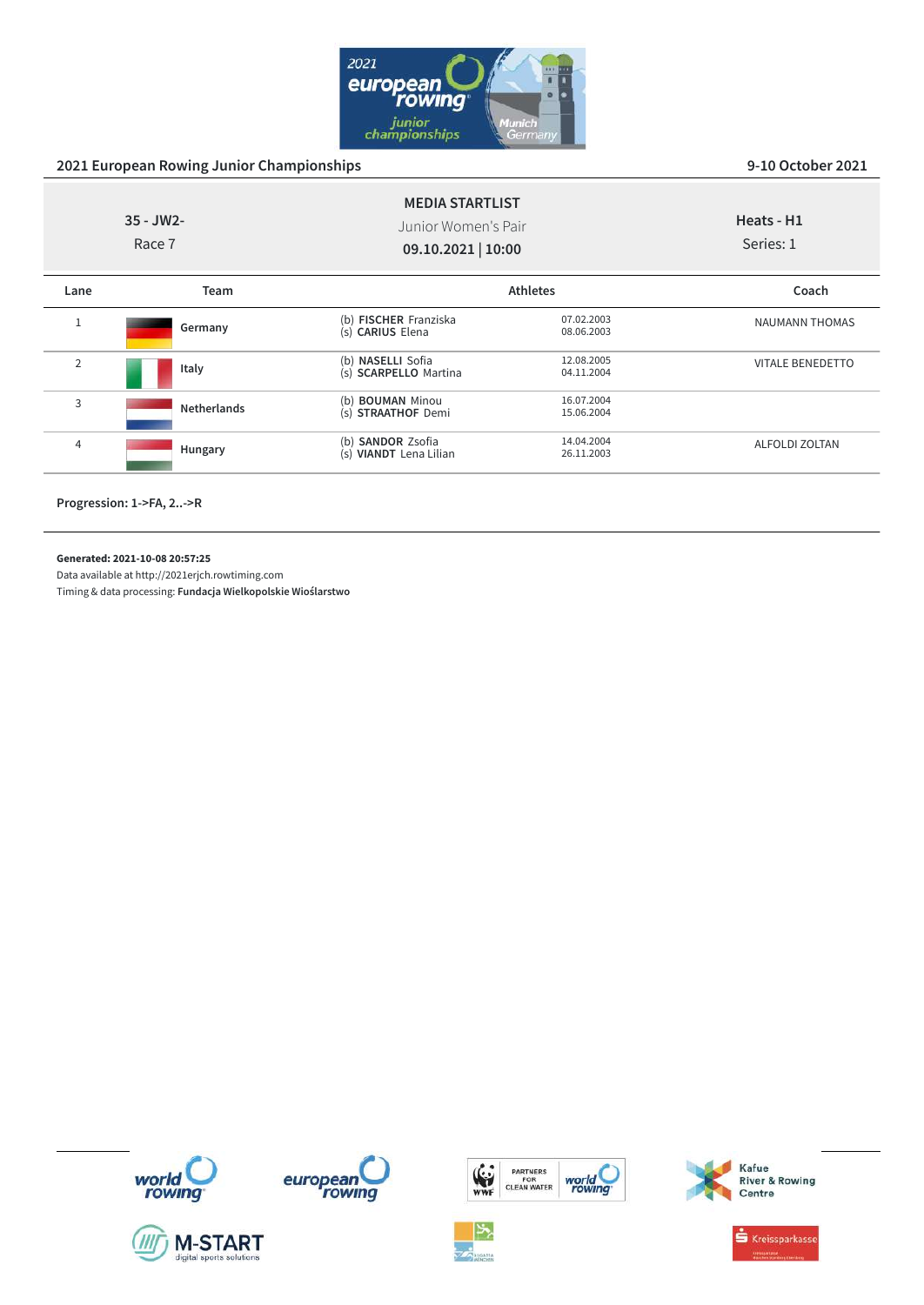

|                | $35 - JW2 -$<br>Race 7 | <b>MEDIA STARTLIST</b><br>Junior Women's Pair<br>09.10.2021   10:00 |                          | Heats - H1<br>Series: 1 |
|----------------|------------------------|---------------------------------------------------------------------|--------------------------|-------------------------|
| Lane           | Team                   |                                                                     | <b>Athletes</b>          | Coach                   |
|                | Germany                | (b) FISCHER Franziska<br>(s) CARIUS Elena                           | 07.02.2003<br>08.06.2003 | NAUMANN THOMAS          |
| $\overline{2}$ | Italy                  | (b) NASELLI Sofia<br>(s) SCARPELLO Martina                          | 12.08.2005<br>04.11.2004 | <b>VITALE BENEDETTO</b> |
| 3              | <b>Netherlands</b>     | (b) <b>BOUMAN</b> Minou<br>(s) STRAATHOF Demi                       | 16.07.2004<br>15.06.2004 |                         |
| 4              | Hungary                | (b) <b>SANDOR</b> Zsofia<br>(s) VIANDT Lena Lilian                  | 14.04.2004<br>26.11.2003 | <b>ALFOLDI ZOLTAN</b>   |

**Progression: 1->FA, 2..->R**

**Generated: 2021-10-08 20:57:25**

Data available at http://2021erjch.rowtiming.com













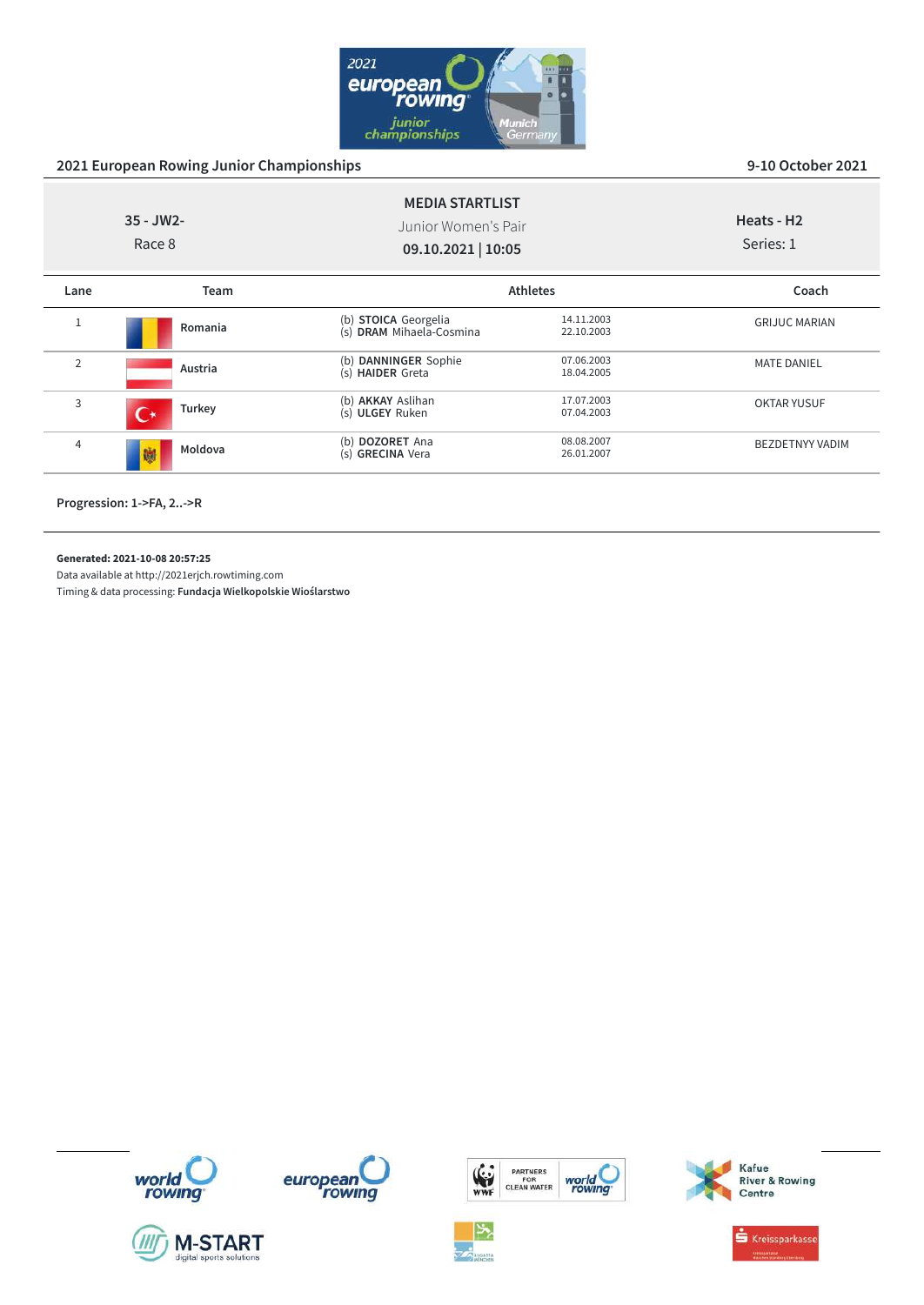

|                | $35 - JW2 -$<br>Race 8 | <b>MEDIA STARTLIST</b><br>Junior Women's Pair<br>09.10.2021   10:05 |                          | Heats - H <sub>2</sub><br>Series: 1 |
|----------------|------------------------|---------------------------------------------------------------------|--------------------------|-------------------------------------|
| Lane           | Team                   |                                                                     | <b>Athletes</b>          | Coach                               |
| Ŧ              | Romania                | (b) STOICA Georgelia<br>(s) DRAM Mihaela-Cosmina                    | 14.11.2003<br>22.10.2003 | <b>GRIJUC MARIAN</b>                |
| $\overline{2}$ | Austria                | (b) DANNINGER Sophie<br>(s) HAIDER Greta                            | 07.06.2003<br>18.04.2005 | <b>MATE DANIEL</b>                  |
| 3              | Turkey                 | (b) AKKAY Aslihan<br>(s) ULGEY Ruken                                | 17.07.2003<br>07.04.2003 | <b>OKTAR YUSUF</b>                  |
| 4              | Moldova<br>鱲           | (b) DOZORET Ana<br>(s) GRECINA Vera                                 | 08.08.2007<br>26.01.2007 | <b>BEZDETNYY VADIM</b>              |

**Progression: 1->FA, 2..->R**

**Generated: 2021-10-08 20:57:25**

Data available at http://2021erjch.rowtiming.com















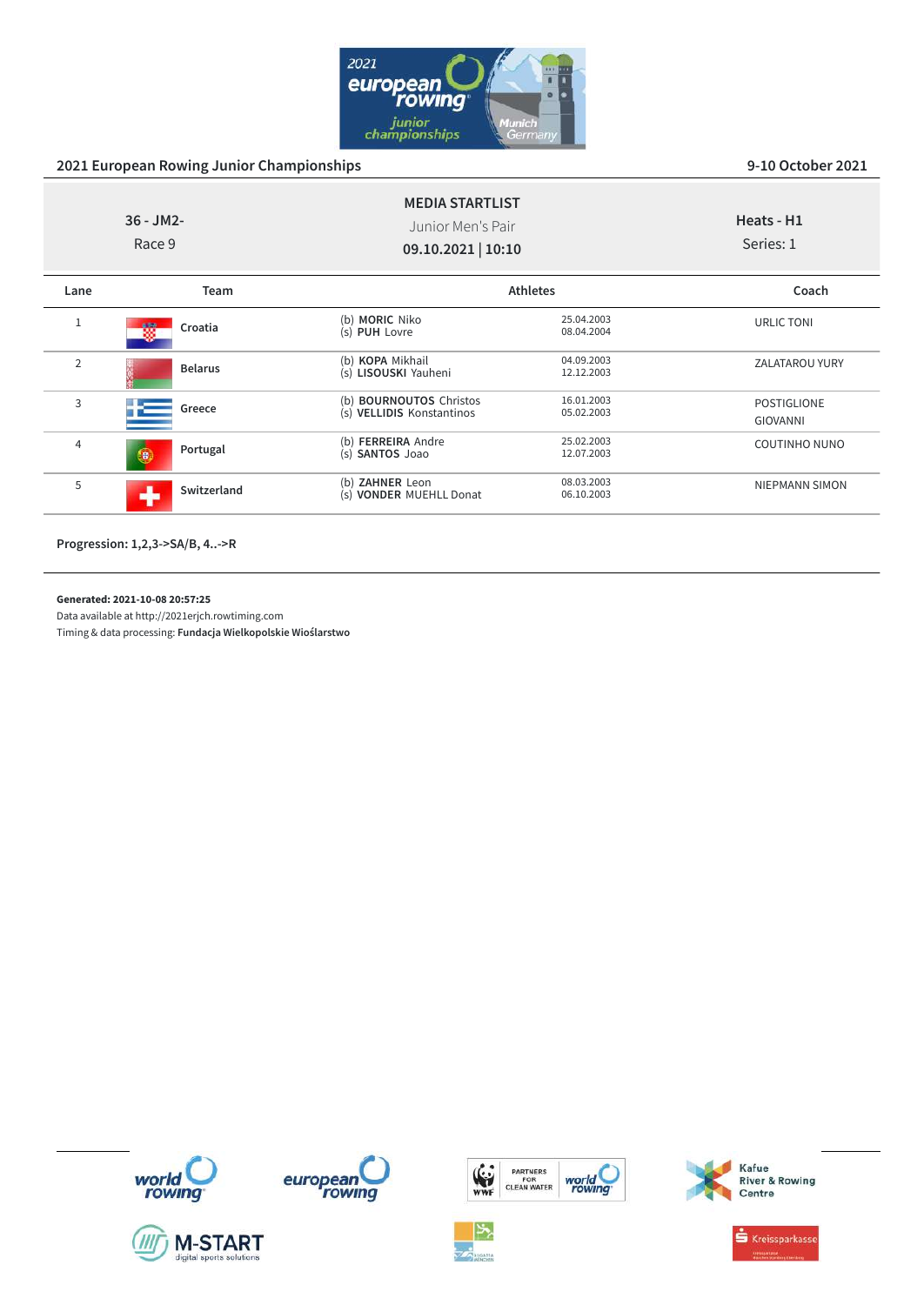

|                | $36 - JM2 -$<br>Race 9 | <b>MEDIA STARTLIST</b><br>Junior Men's Pair<br>09.10.2021   10:10 |                          | Heats - H1<br>Series: 1               |
|----------------|------------------------|-------------------------------------------------------------------|--------------------------|---------------------------------------|
| Lane           | Team                   |                                                                   | <b>Athletes</b>          | Coach                                 |
|                | Croatia<br>檹           | (b) MORIC Niko<br>(s) PUH Lovre                                   | 25.04.2003<br>08.04.2004 | URLIC TONI                            |
| $\overline{2}$ | <b>Belarus</b>         | (b) KOPA Mikhail<br>(s) LISOUSKI Yauheni                          | 04.09.2003<br>12.12.2003 | ZALATAROU YURY                        |
| 3              | Greece                 | (b) BOURNOUTOS Christos<br>(s) VELLIDIS Konstantinos              | 16.01.2003<br>05.02.2003 | <b>POSTIGLIONE</b><br><b>GIOVANNI</b> |
| 4              | Portugal<br>6          | (b) FERREIRA Andre<br>(s) <b>SANTOS</b> Joao                      | 25.02.2003<br>12.07.2003 | <b>COUTINHO NUNO</b>                  |
| 5              | Switzerland<br>ah.     | (b) ZAHNER Leon<br>(s) VONDER MUEHLL Donat                        | 08.03.2003<br>06.10.2003 | NIEPMANN SIMON                        |

**Progression: 1,2,3->SA/B, 4..->R**

**Generated: 2021-10-08 20:57:25**

Data available at http://2021erjch.rowtiming.com

Timing & data processing: **Fundacja Wielkopolskie Wioślarstwo**













 $\stackrel{\bullet}{\bullet}$  Kreissparkasse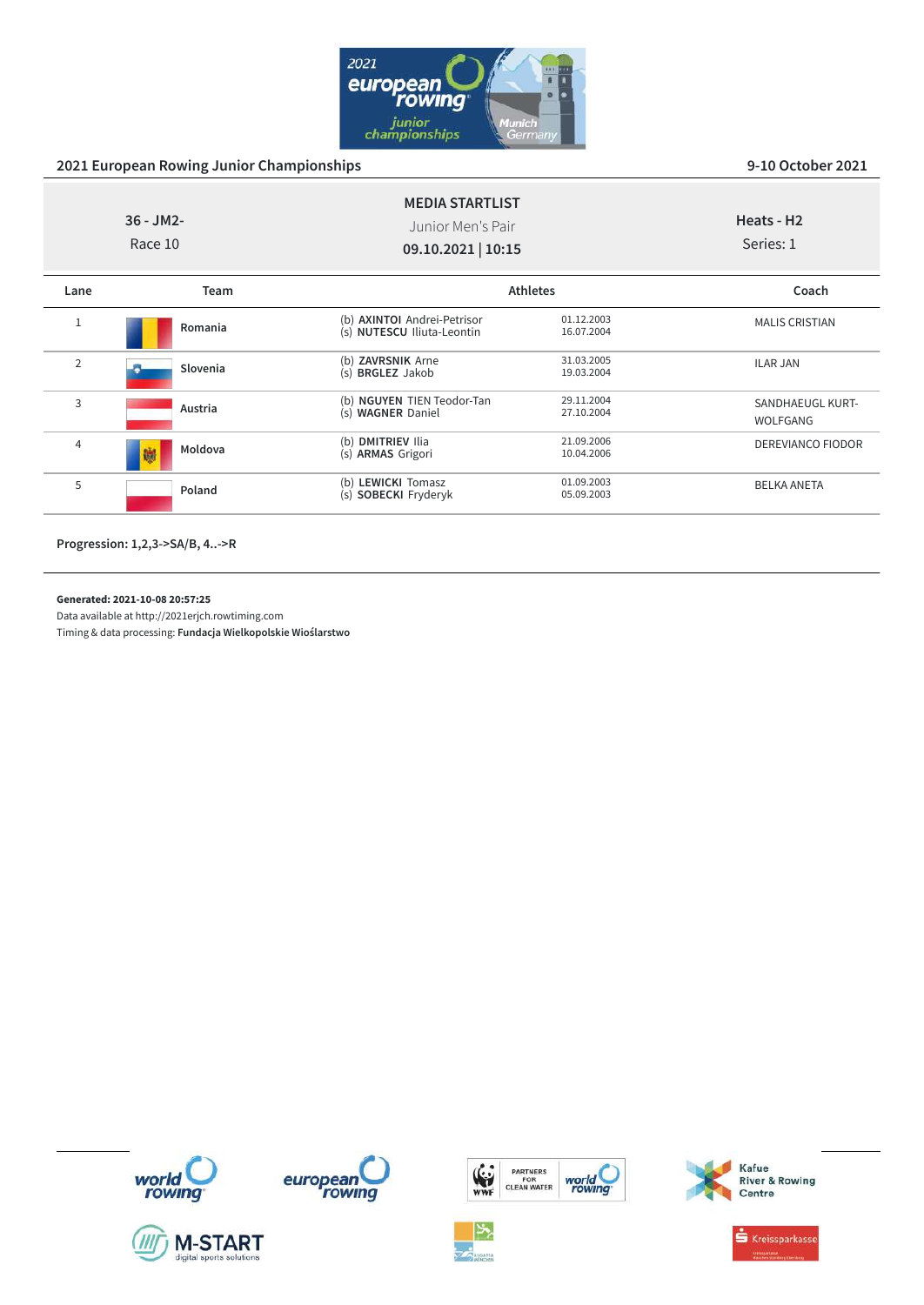

|                | $36 - JM2 -$<br>Race 10 | <b>MEDIA STARTLIST</b><br>Junior Men's Pair<br>09.10.2021   10:15 |                          | Heats - H <sub>2</sub><br>Series: 1 |
|----------------|-------------------------|-------------------------------------------------------------------|--------------------------|-------------------------------------|
| Lane           | Team                    |                                                                   | <b>Athletes</b>          | Coach                               |
|                | Romania                 | (b) AXINTOI Andrei-Petrisor<br>(s) NUTESCU Iliuta-Leontin         | 01.12.2003<br>16.07.2004 | <b>MALIS CRISTIAN</b>               |
| $\overline{2}$ | Slovenia                | (b) <b>ZAVRSNIK</b> Arne<br>(s) <b>BRGLEZ</b> Jakob               | 31.03.2005<br>19.03.2004 | <b>ILAR JAN</b>                     |
| 3              | Austria                 | (b) NGUYEN TIEN Teodor-Tan<br>(s) WAGNER Daniel                   | 29.11.2004<br>27.10.2004 | SANDHAEUGL KURT-<br>WOLFGANG        |
| 4              | Moldova<br>鱜            | (b) DMITRIEV Ilia<br>(s) ARMAS Grigori                            | 21.09.2006<br>10.04.2006 | <b>DEREVIANCO FIODOR</b>            |
| 5              | Poland                  | (b) LEWICKI Tomasz<br>(s) SOBECKI Fryderyk                        | 01.09.2003<br>05.09.2003 | <b>BELKA ANETA</b>                  |

**Progression: 1,2,3->SA/B, 4..->R**

**Generated: 2021-10-08 20:57:25**

Data available at http://2021erjch.rowtiming.com Timing & data processing: **Fundacja Wielkopolskie Wioślarstwo**

world<br>rowing













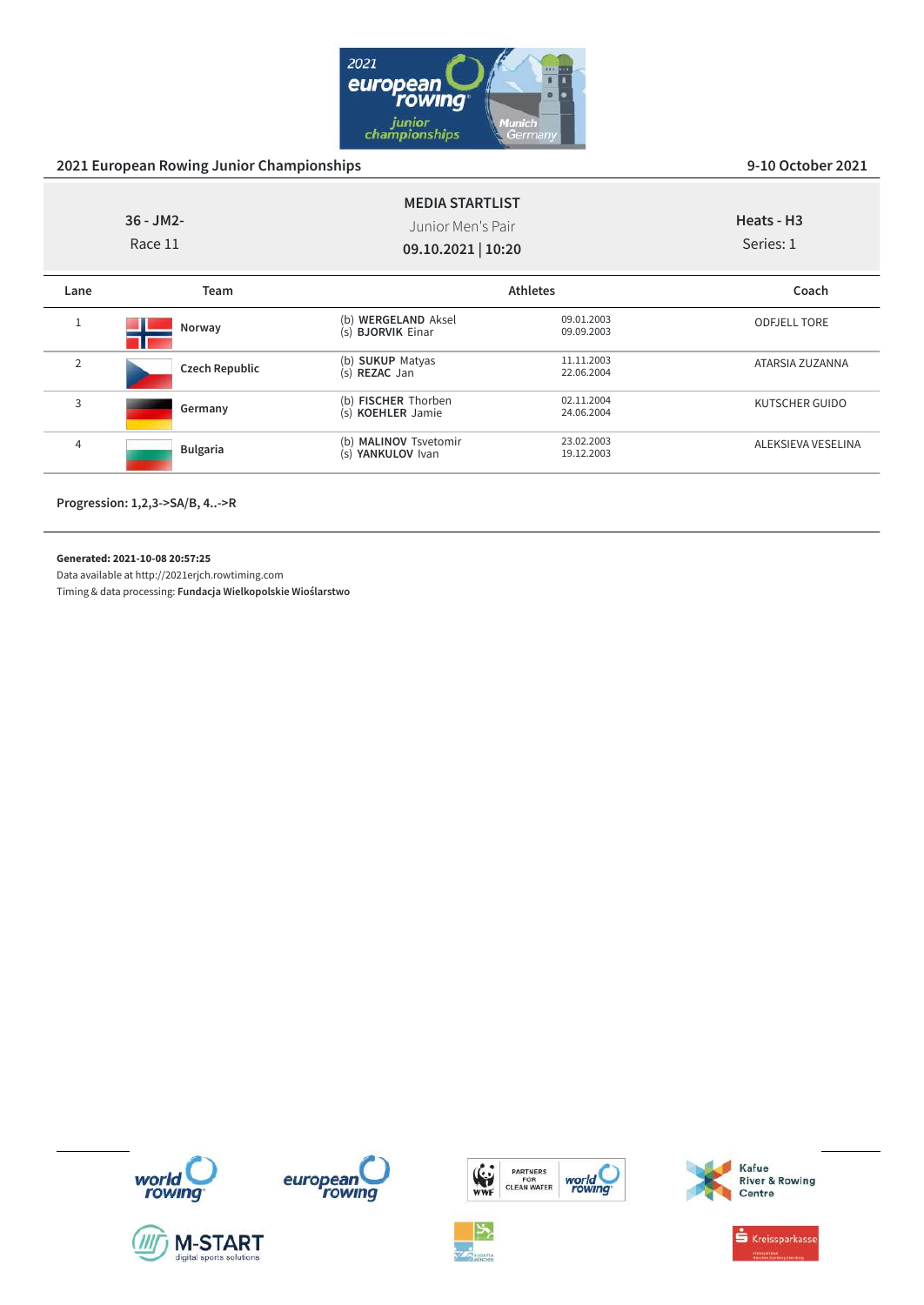

|                | $36 - JM2 -$<br>Race 11 | <b>MEDIA STARTLIST</b><br>Junior Men's Pair<br>09.10.2021   10:20 |                          | Heats - H <sub>3</sub><br>Series: 1 |
|----------------|-------------------------|-------------------------------------------------------------------|--------------------------|-------------------------------------|
| Lane           | Team                    |                                                                   | <b>Athletes</b>          | Coach                               |
| 1              | Norway                  | (b) WERGELAND Aksel<br>(s) <b>BJORVIK</b> Einar                   | 09.01.2003<br>09.09.2003 | <b>ODFJELL TORE</b>                 |
| $\overline{2}$ | <b>Czech Republic</b>   | (b) SUKUP Matyas<br>(s) REZAC Jan                                 | 11.11.2003<br>22.06.2004 | ATARSIA ZUZANNA                     |
| 3              | Germany                 | (b) FISCHER Thorben<br>(s) KOEHLER Jamie                          | 02.11.2004<br>24.06.2004 | KUTSCHER GUIDO                      |
| 4              | <b>Bulgaria</b>         | (b) MALINOV Tsvetomir<br>(s) YANKULOV Ivan                        | 23.02.2003<br>19.12.2003 | ALEKSIEVA VESELINA                  |

**Progression: 1,2,3->SA/B, 4..->R**

**Generated: 2021-10-08 20:57:25**

Data available at http://2021erjch.rowtiming.com

















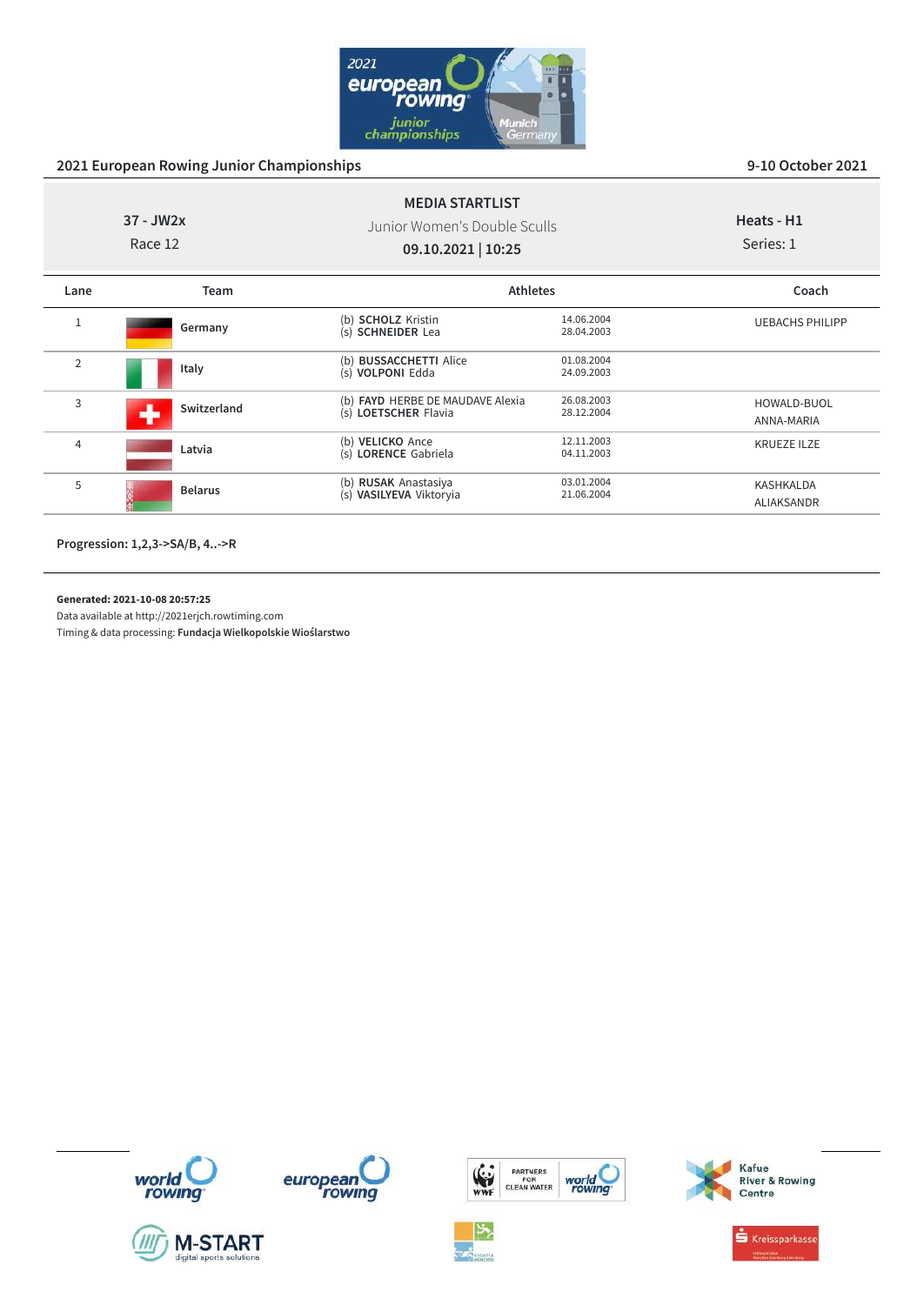

| $37 - JW2x$<br>Race 12 |                  | <b>MEDIA STARTLIST</b><br>Junior Women's Double Sculls<br>09.10.2021   10:25 |                          | Heats - H1<br>Series: 1        |
|------------------------|------------------|------------------------------------------------------------------------------|--------------------------|--------------------------------|
| Lane                   | <b>Team</b>      | <b>Athletes</b>                                                              |                          | Coach                          |
| 1                      | Germany          | (b) SCHOLZ Kristin<br>(s) SCHNEIDER Lea                                      | 14.06.2004<br>28.04.2003 | <b>UEBACHS PHILIPP</b>         |
| $\overline{2}$         | Italy            | (b) <b>BUSSACCHETTI</b> Alice<br>(s) <b>VOLPONI</b> Edda                     | 01.08.2004<br>24.09.2003 |                                |
| 3                      | Switzerland<br>┻ | (b) FAYD HERBE DE MAUDAVE Alexia<br>(s) LOETSCHER Flavia                     | 26.08.2003<br>28.12.2004 | HOWALD-BUOL<br>ANNA-MARIA      |
| 4                      | Latvia           | (b) VELICKO Ance<br>(s) LORENCE Gabriela                                     | 12.11.2003<br>04.11.2003 | <b>KRUEZE ILZE</b>             |
| 5                      | <b>Belarus</b>   | (b) RUSAK Anastasiya<br>(s) VASILYEVA Viktoryia                              | 03.01.2004<br>21.06.2004 | <b>KASHKALDA</b><br>ALIAKSANDR |

**Progression: 1,2,3->SA/B, 4..->R**

**Generated: 2021-10-08 20:57:25**

Data available at http://2021erjch.rowtiming.com













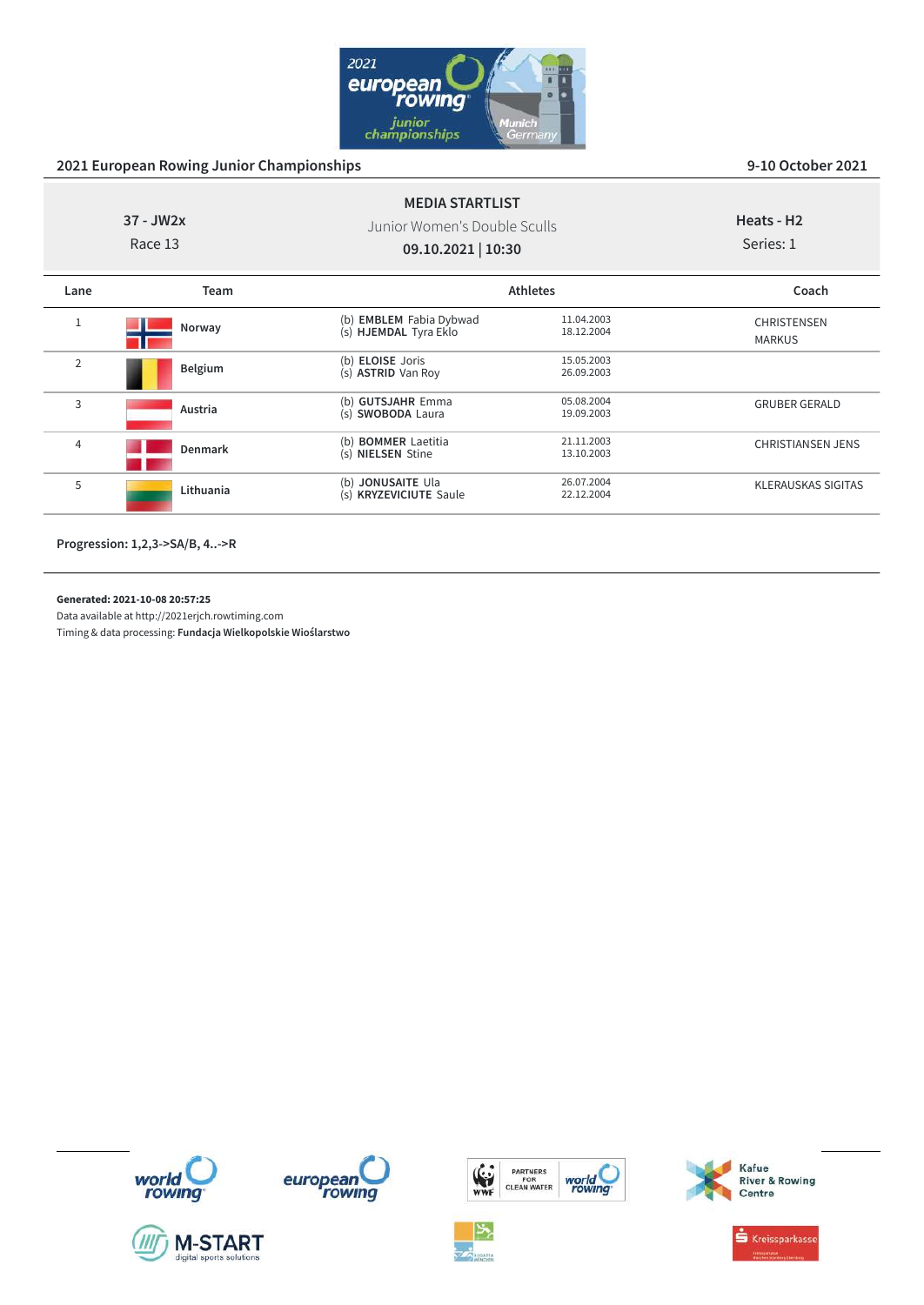

| $37 - JW2x$<br>Race 13 |             | <b>MEDIA STARTLIST</b><br>Junior Women's Double Sculls<br>09.10.2021   10:30 |                          | Heats - H <sub>2</sub><br>Series: 1 |
|------------------------|-------------|------------------------------------------------------------------------------|--------------------------|-------------------------------------|
| Lane                   | <b>Team</b> |                                                                              | <b>Athletes</b>          | Coach                               |
| $\mathbf{1}$           | Norway      | (b) <b>EMBLEM</b> Fabia Dybwad<br>(s) HJEMDAL Tyra Eklo                      | 11.04.2003<br>18.12.2004 | CHRISTENSEN<br><b>MARKUS</b>        |
| 2                      | Belgium     | (b) <b>ELOISE</b> Joris<br>(s) <b>ASTRID</b> Van Roy                         | 15.05.2003<br>26.09.2003 |                                     |
| 3                      | Austria     | (b) GUTSJAHR Emma<br>(s) SWOBODA Laura                                       | 05.08.2004<br>19.09.2003 | <b>GRUBER GERALD</b>                |
| 4                      | Denmark     | (b) <b>BOMMER</b> Laetitia<br>(s) NIELSEN Stine                              | 21.11.2003<br>13.10.2003 | <b>CHRISTIANSEN JENS</b>            |
| 5                      | Lithuania   | (b) JONUSAITE Ula<br>(s) KRYZEVICIUTE Saule                                  | 26.07.2004<br>22.12.2004 | <b>KLERAUSKAS SIGITAS</b>           |

**Progression: 1,2,3->SA/B, 4..->R**

**Generated: 2021-10-08 20:57:25**

Data available at http://2021erjch.rowtiming.com













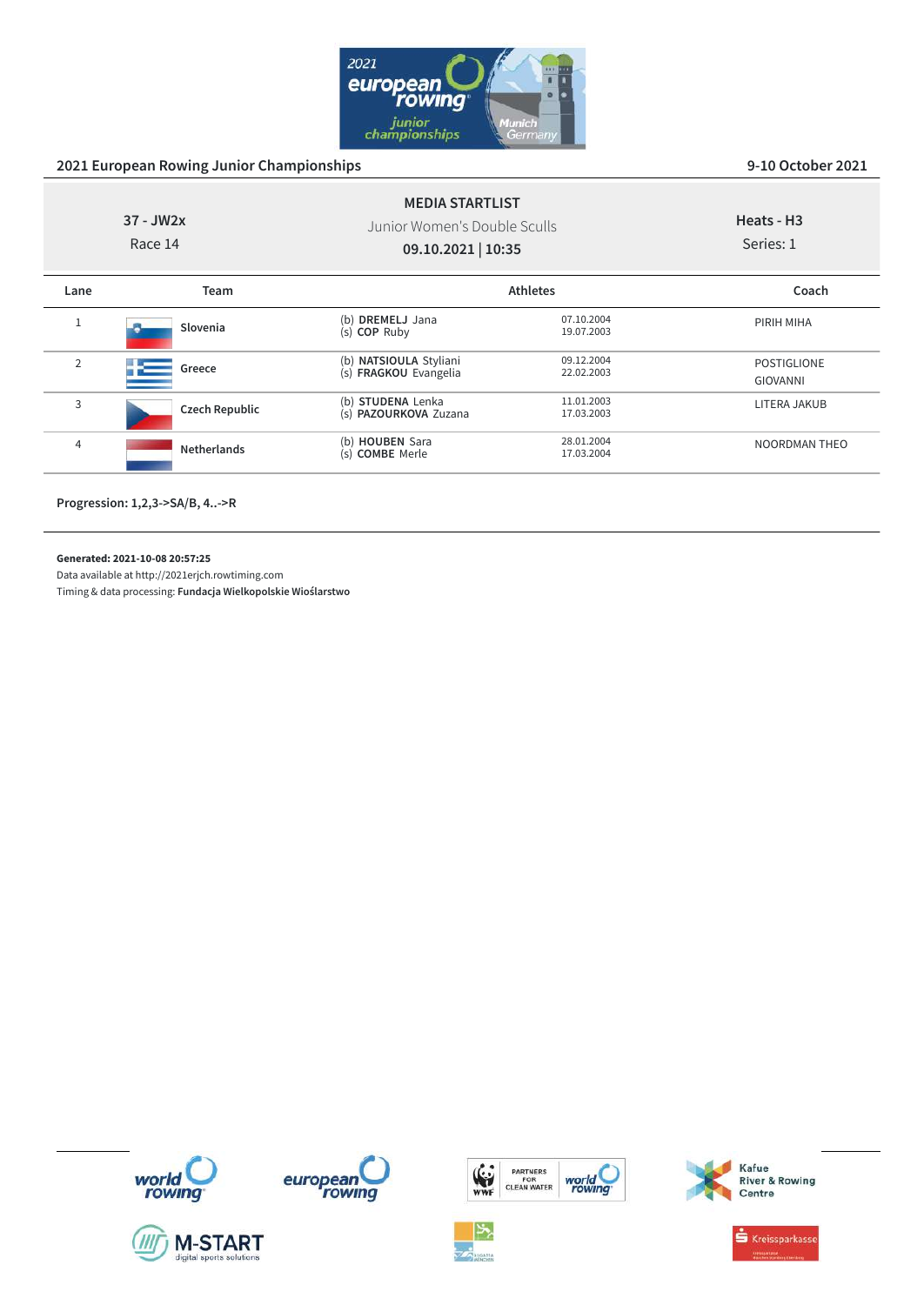

|                | $37 - JW2x$<br>Race 14 | <b>MEDIA STARTLIST</b><br>Junior Women's Double Sculls<br>09.10.2021   10:35 |                          | Heats - H <sub>3</sub><br>Series: 1   |
|----------------|------------------------|------------------------------------------------------------------------------|--------------------------|---------------------------------------|
| Lane           | Team                   |                                                                              | <b>Athletes</b>          | Coach                                 |
|                | Slovenia               | (b) DREMELJ Jana<br>(s) COP Ruby                                             | 07.10.2004<br>19.07.2003 | PIRIH MIHA                            |
| $\overline{2}$ | Greece                 | (b) NATSIOULA Styliani<br>(s) FRAGKOU Evangelia                              | 09.12.2004<br>22.02.2003 | <b>POSTIGLIONE</b><br><b>GIOVANNI</b> |
| 3              | <b>Czech Republic</b>  | (b) STUDENA Lenka<br>(s) PAZOURKOVA Zuzana                                   | 11.01.2003<br>17.03.2003 | LITERA JAKUB                          |
| $\overline{4}$ | <b>Netherlands</b>     | (b) HOUBEN Sara<br>(s) COMBE Merle                                           | 28.01.2004<br>17.03.2004 | <b>NOORDMAN THEO</b>                  |

**Progression: 1,2,3->SA/B, 4..->R**

**Generated: 2021-10-08 20:57:25**

Data available at http://2021erjch.rowtiming.com

Timing & data processing: **Fundacja Wielkopolskie Wioślarstwo**













Kafue<br>River & Rowing<br>Centre

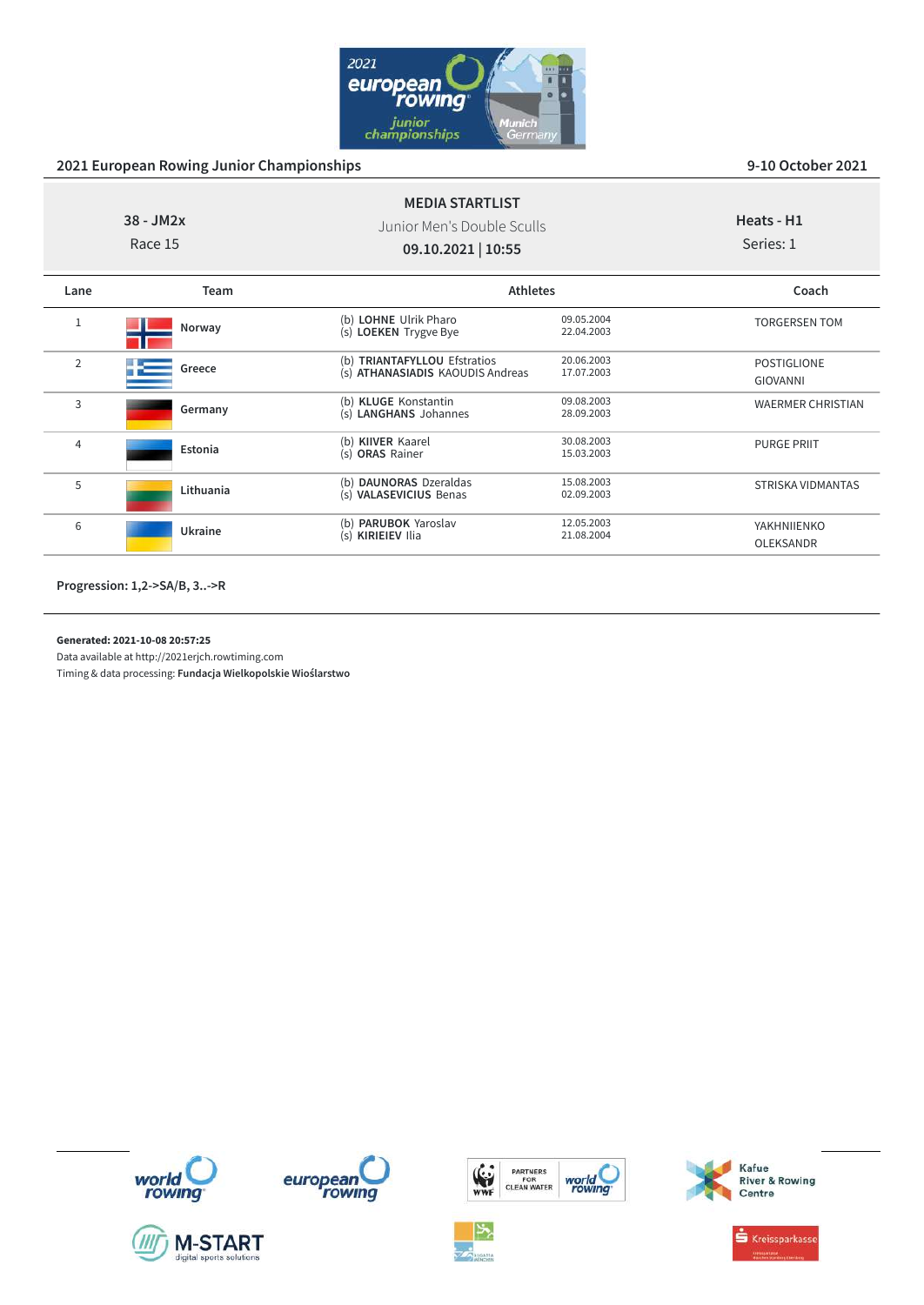

POSTIGLIONE GIOVANNI

PURGE PRIIT

YAKHNIIENKO OLEKSANDR

WAERMER CHRISTIAN

STRISKA VIDMANTAS

| $38 - JM2x$<br>Race 15 |        | <b>MEDIA STARTLIST</b><br>Junior Men's Double Sculls<br>09.10.2021   10:55 |                          | Heats - H1<br>Series: 1 |
|------------------------|--------|----------------------------------------------------------------------------|--------------------------|-------------------------|
| Lane                   | Team   |                                                                            | <b>Athletes</b>          | Coach                   |
|                        | Norway | (b) LOHNE Ulrik Pharo<br>(s) LOEKEN Trygve Bye                             | 09.05.2004<br>22.04.2003 | <b>TORGERSEN TOM</b>    |

(s) **ATHANASIADIS** KAOUDIS Andreas

(s) **LANGHANS** Johannes

(s) **VALASEVICIUS** Benas 02.09.2003

(b) **TRIANTAFYLLOU** Efstratios 20.06.2003<br>(s) **ATHANASIADIS** KAOUDIS Andreas 17.07.2003

(b) **KLUGE** Konstantin 09.08.2003<br>
(s) **LANGHANS** Johannes 28.09.2003

(**b**) **KIIVER** Kaarel 30.08.2003<br>(s) **ORAS** Rainer 15.03.2003

(b) **DAUNORAS** Dzeraldas 15.08.2003<br>
(s) **VALASEVICIUS** Benas 02.09.2003

(b) **PARUBOK** Yaroslav 12.05.2003 (s) **KIRIEIEV** Ilia 21.08.2004

<sup>2</sup> Greece

<sup>3</sup> **Germany**

<sup>4</sup> **Estonia**

<sup>5</sup> **Lithuania**

<sup>6</sup> **Ukraine**

### **Generated: 2021-10-08 20:57:25**

Data available at http://2021erjch.rowtiming.com















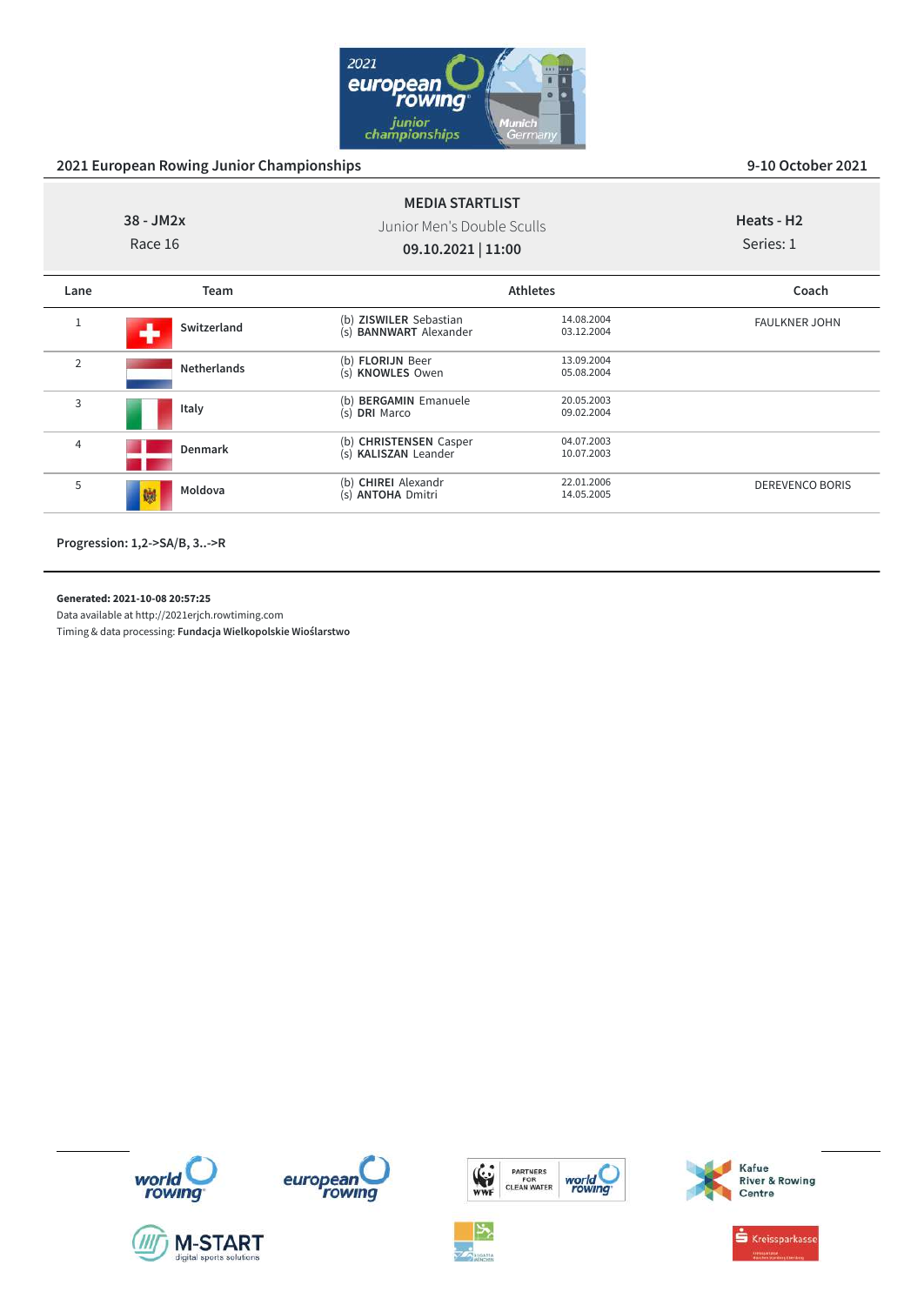

| $38 - JM2x$<br>Race 16 |                    | <b>MEDIA STARTLIST</b><br>Junior Men's Double Sculls<br>09.10.2021   11:00 |                          | Heats - H <sub>2</sub><br>Series: 1 |
|------------------------|--------------------|----------------------------------------------------------------------------|--------------------------|-------------------------------------|
| Lane                   | Team               |                                                                            | <b>Athletes</b>          | Coach                               |
| 1                      | Switzerland        | (b) ZISWILER Sebastian<br>(s) <b>BANNWART</b> Alexander                    | 14.08.2004<br>03.12.2004 | <b>FAULKNER JOHN</b>                |
| $\overline{2}$         | <b>Netherlands</b> | (b) FLORIJN Beer<br>(s) KNOWLES Owen                                       | 13.09.2004<br>05.08.2004 |                                     |
| 3                      | Italy              | (b) BERGAMIN Emanuele<br>(s) DRI Marco                                     | 20.05.2003<br>09.02.2004 |                                     |
| 4                      | <b>Denmark</b>     | (b) CHRISTENSEN Casper<br>(s) KALISZAN Leander                             | 04.07.2003<br>10.07.2003 |                                     |
| 5                      | Moldova<br>鱜       | (b) CHIREI Alexandr<br>(s) ANTOHA Dmitri                                   | 22.01.2006<br>14.05.2005 | <b>DEREVENCO BORIS</b>              |
|                        |                    |                                                                            |                          |                                     |

**Progression: 1,2->SA/B, 3..->R**

**Generated: 2021-10-08 20:57:25**

Data available at http://2021erjch.rowtiming.com













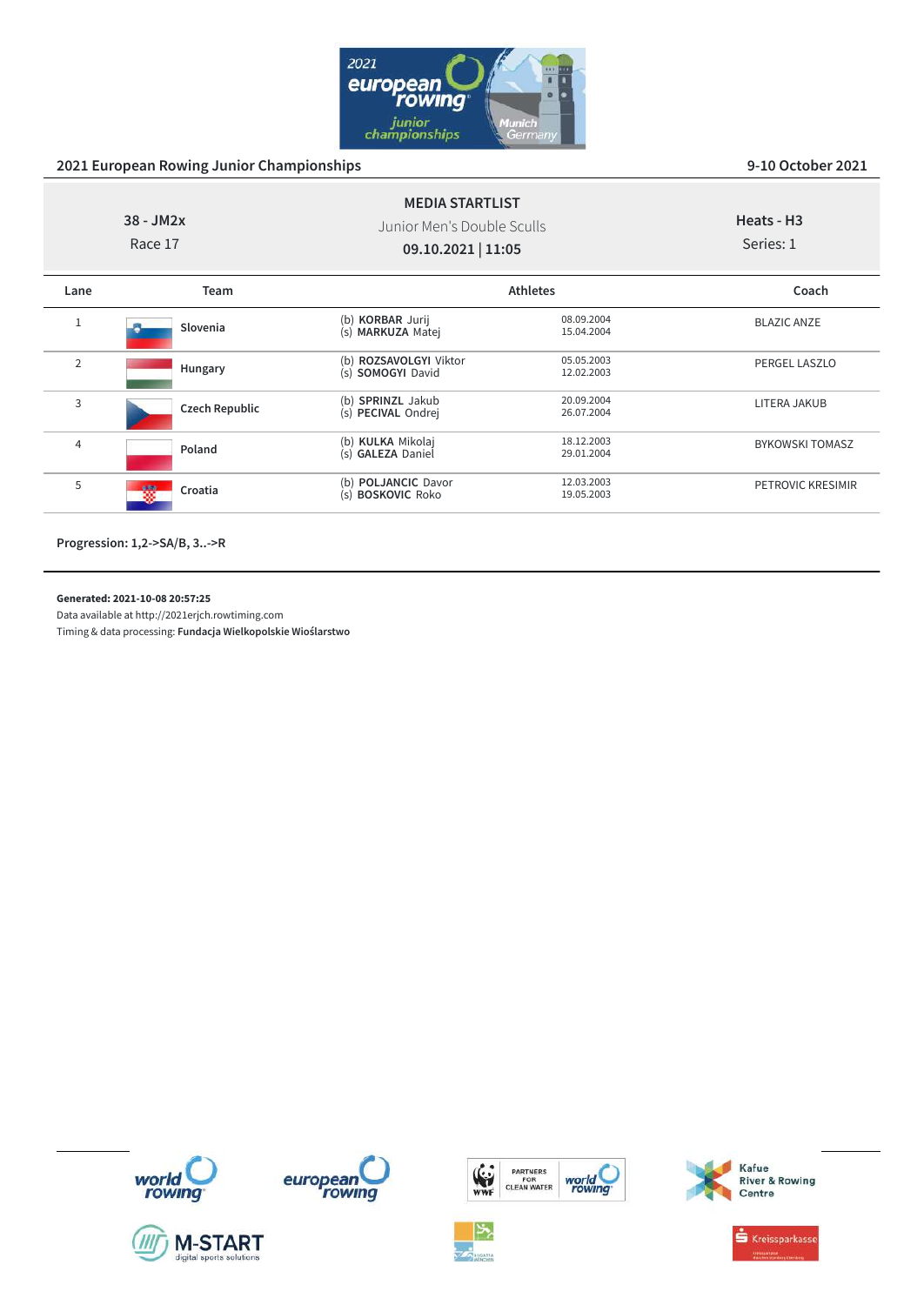

|                | $38 - JM2x$<br>Race 17 | <b>MEDIA STARTLIST</b><br>Junior Men's Double Sculls<br>09.10.2021   11:05 |                          | Heats - H <sub>3</sub><br>Series: 1 |
|----------------|------------------------|----------------------------------------------------------------------------|--------------------------|-------------------------------------|
| Lane           | <b>Team</b>            |                                                                            | <b>Athletes</b>          | Coach                               |
| $1\,$          | Slovenia               | (b) KORBAR Jurij<br>(s) MARKUZA Matej                                      | 08.09.2004<br>15.04.2004 | <b>BLAZIC ANZE</b>                  |
| $\overline{2}$ | Hungary                | (b) ROZSAVOLGYI Viktor<br>(s) SOMOGYI David                                | 05.05.2003<br>12.02.2003 | PERGEL LASZLO                       |
| 3              | <b>Czech Republic</b>  | (b) SPRINZL Jakub<br>(s) PECIVAL Ondrej                                    | 20.09.2004<br>26.07.2004 | LITERA JAKUB                        |
| $\overline{4}$ | Poland                 | (b) KULKA Mikolaj<br>(s) GALEZA Daniel                                     | 18.12.2003<br>29.01.2004 | <b>BYKOWSKI TOMASZ</b>              |
| 5              | 蹨<br>Croatia           | (b) POLJANCIC Davor<br>(s) BOSKOVIC Roko                                   | 12.03.2003<br>19.05.2003 | PETROVIC KRESIMIR                   |

**Progression: 1,2->SA/B, 3..->R**

**Generated: 2021-10-08 20:57:25**

Data available at http://2021erjch.rowtiming.com















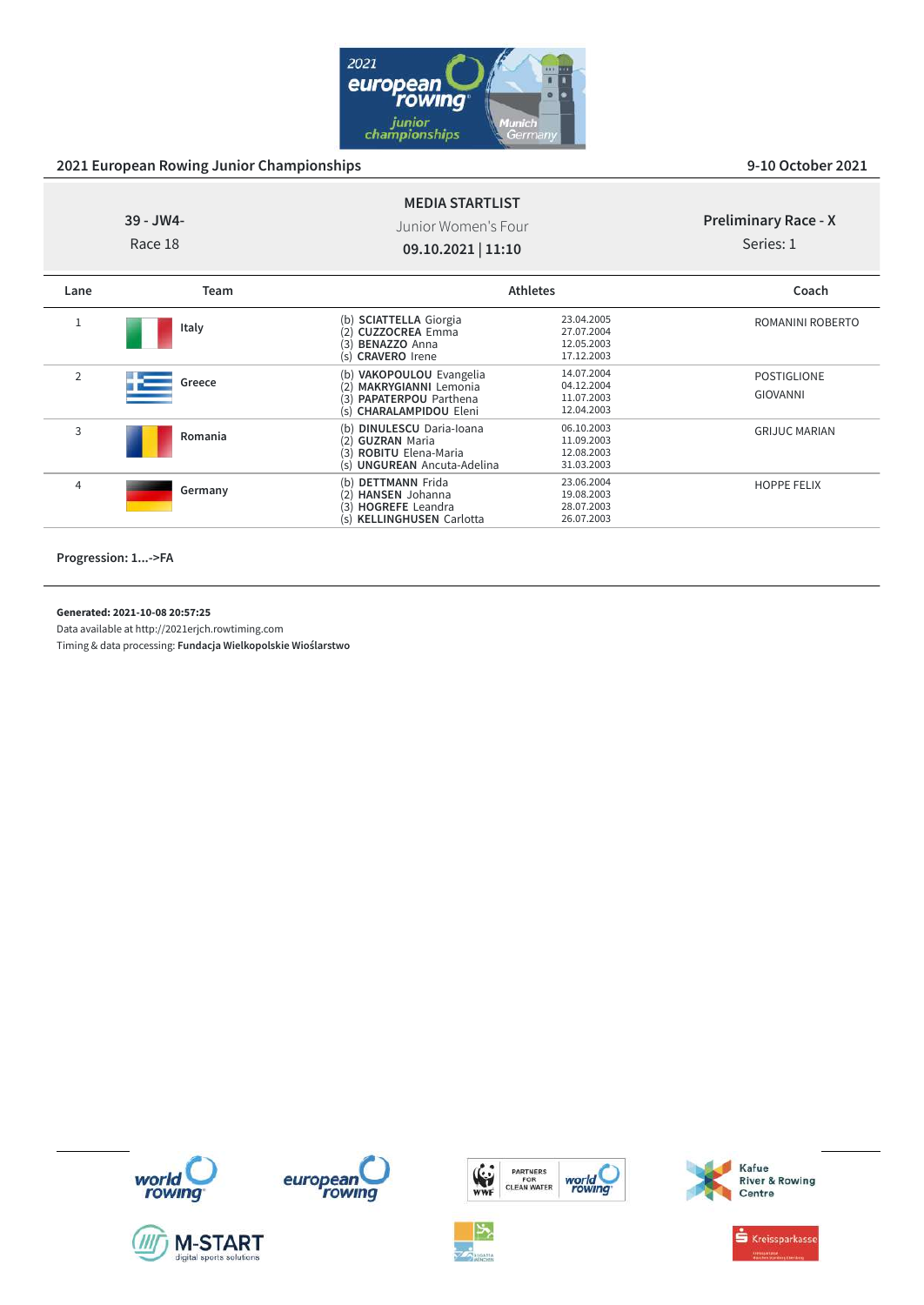

|                | $39 - JW4 -$<br>Race 18 | <b>MEDIA STARTLIST</b><br>Junior Women's Four<br>09.10.2021   11:10                                                                  |                                                      | <b>Preliminary Race - X</b><br>Series: 1 |
|----------------|-------------------------|--------------------------------------------------------------------------------------------------------------------------------------|------------------------------------------------------|------------------------------------------|
| Lane           | <b>Team</b>             |                                                                                                                                      | <b>Athletes</b>                                      | Coach                                    |
| 1              | Italy                   | <b>SCIATTELLA Giorgia</b><br>(b)<br><b>CUZZOCREA Emma</b><br>(3)<br><b>BENAZZO Anna</b><br>(s) <b>CRAVERO</b> Irene                  | 23.04.2005<br>27.07.2004<br>12.05.2003<br>17.12.2003 | ROMANINI ROBERTO                         |
| $\overline{2}$ | Greece                  | VAKOPOULOU Evangelia<br>(b)<br><b>MAKRYGIANNI Lemonia</b><br>(2)<br>PAPATERPOU Parthena<br>(3)<br>(s) CHARALAMPIDOU Eleni            | 14.07.2004<br>04.12.2004<br>11.07.2003<br>12.04.2003 | <b>POSTIGLIONE</b><br><b>GIOVANNI</b>    |
| 3              | Romania                 | <b>DINULESCU Daria-Ioana</b><br>(b)<br><b>GUZRAN</b> Maria<br>(2)<br>(3)<br><b>ROBITU Elena-Maria</b><br>(s) UNGUREAN Ancuta-Adelina | 06.10.2003<br>11.09.2003<br>12.08.2003<br>31.03.2003 | <b>GRIJUC MARIAN</b>                     |
| 4              | Germany                 | (b) DETTMANN Frida<br><b>HANSEN</b> Johanna<br>(2)                                                                                   | 23.06.2004<br>19.08.2003                             | <b>HOPPE FELIX</b>                       |

(3) **HOGREFE** Leandra 28.07.2003 (s) **KELLINGHUSEN** Carlotta 26.07.2003

**Progression: 1...->FA**

**Generated: 2021-10-08 20:57:25**

Data available at http://2021erjch.rowtiming.com















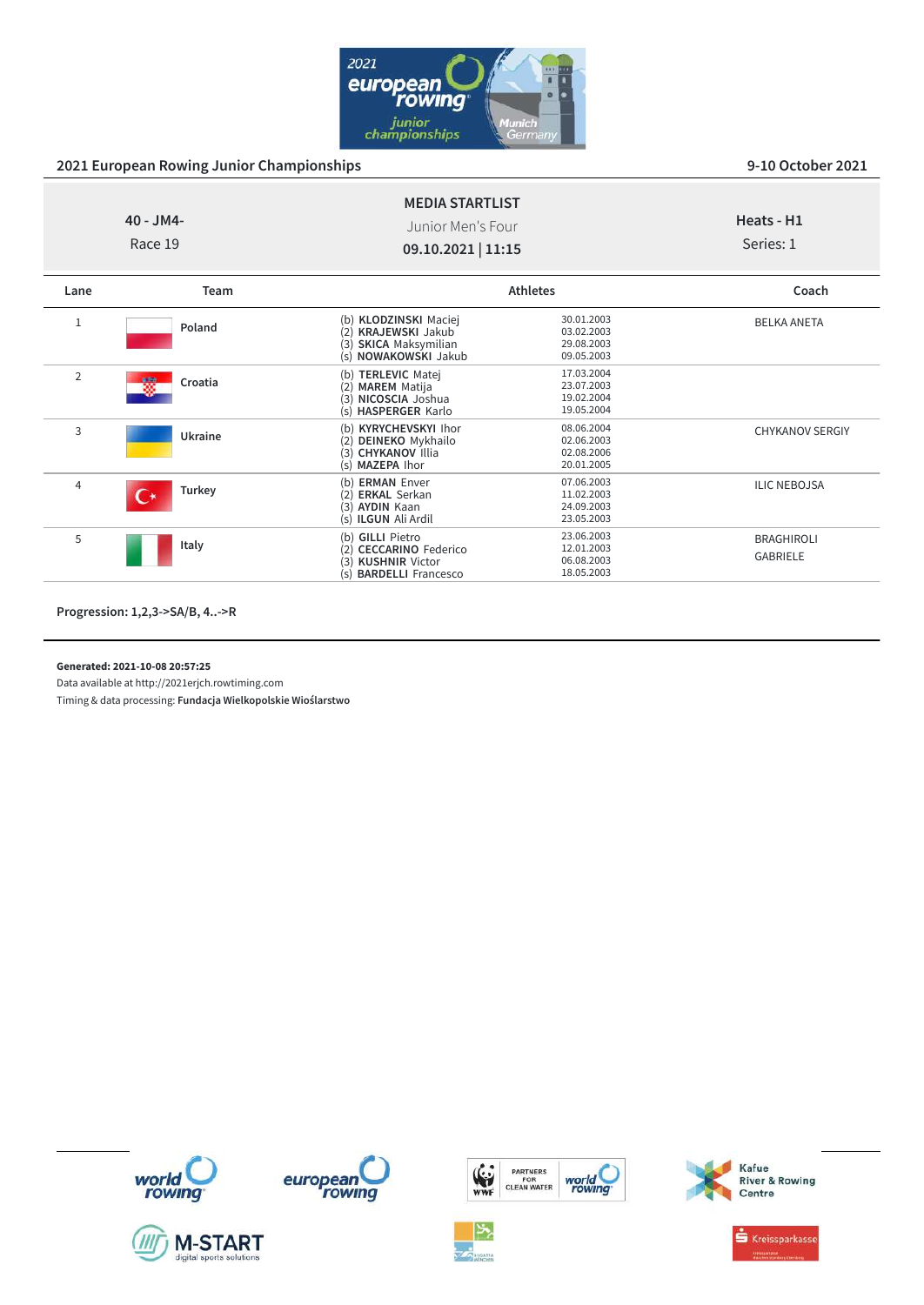

|                | $40 - JM4 -$<br>Race 19 | <b>MEDIA STARTLIST</b><br>Junior Men's Four<br>09.10.2021   11:15                                                        |                                                      | Heats - H1<br>Series: 1              |
|----------------|-------------------------|--------------------------------------------------------------------------------------------------------------------------|------------------------------------------------------|--------------------------------------|
| Lane           | Team                    |                                                                                                                          | <b>Athletes</b>                                      | Coach                                |
| 1              | Poland                  | (b) KLODZINSKI Maciej<br><b>KRAJEWSKI Jakub</b><br>(2)<br><b>SKICA Maksymilian</b><br>(3)<br>(s) NOWAKOWSKI Jakub        | 30.01.2003<br>03.02.2003<br>29.08.2003<br>09.05.2003 | <b>BELKA ANETA</b>                   |
| $\overline{2}$ | 铹<br>Croatia            | (b) TERLEVIC Matej<br><b>MAREM Matija</b><br>(2)<br>NICOSCIA Joshua<br>(3)<br>(s) HASPERGER Karlo                        | 17.03.2004<br>23.07.2003<br>19.02.2004<br>19.05.2004 |                                      |
| 3              | Ukraine                 | (b) KYRYCHEVSKYI Ihor<br>DEINEKO Mykhailo<br>(2)<br>(3) CHYKANOV Illia<br>(s) MAZEPA Ihor                                | 08.06.2004<br>02.06.2003<br>02.08.2006<br>20.01.2005 | <b>CHYKANOV SERGIY</b>               |
| $\overline{4}$ | Turkey                  | <b>ERMAN Enver</b><br>(b)<br><b>ERKAL Serkan</b><br>(2)<br>(3) AYDIN Kaan<br>(s) <b>ILGUN</b> Ali Ardil                  | 07.06.2003<br>11.02.2003<br>24.09.2003<br>23.05.2003 | <b>ILIC NEBOJSA</b>                  |
| 5              | Italy                   | (b) GILLI Pietro<br><b>CECCARINO Federico</b><br>(2)<br><b>KUSHNIR Victor</b><br>(3)<br><b>BARDELLI</b> Francesco<br>(s) | 23.06.2003<br>12.01.2003<br>06.08.2003<br>18.05.2003 | <b>BRAGHIROLI</b><br><b>GABRIELE</b> |

**Progression: 1,2,3->SA/B, 4..->R**

**Generated: 2021-10-08 20:57:25**

Data available at http://2021erjch.rowtiming.com













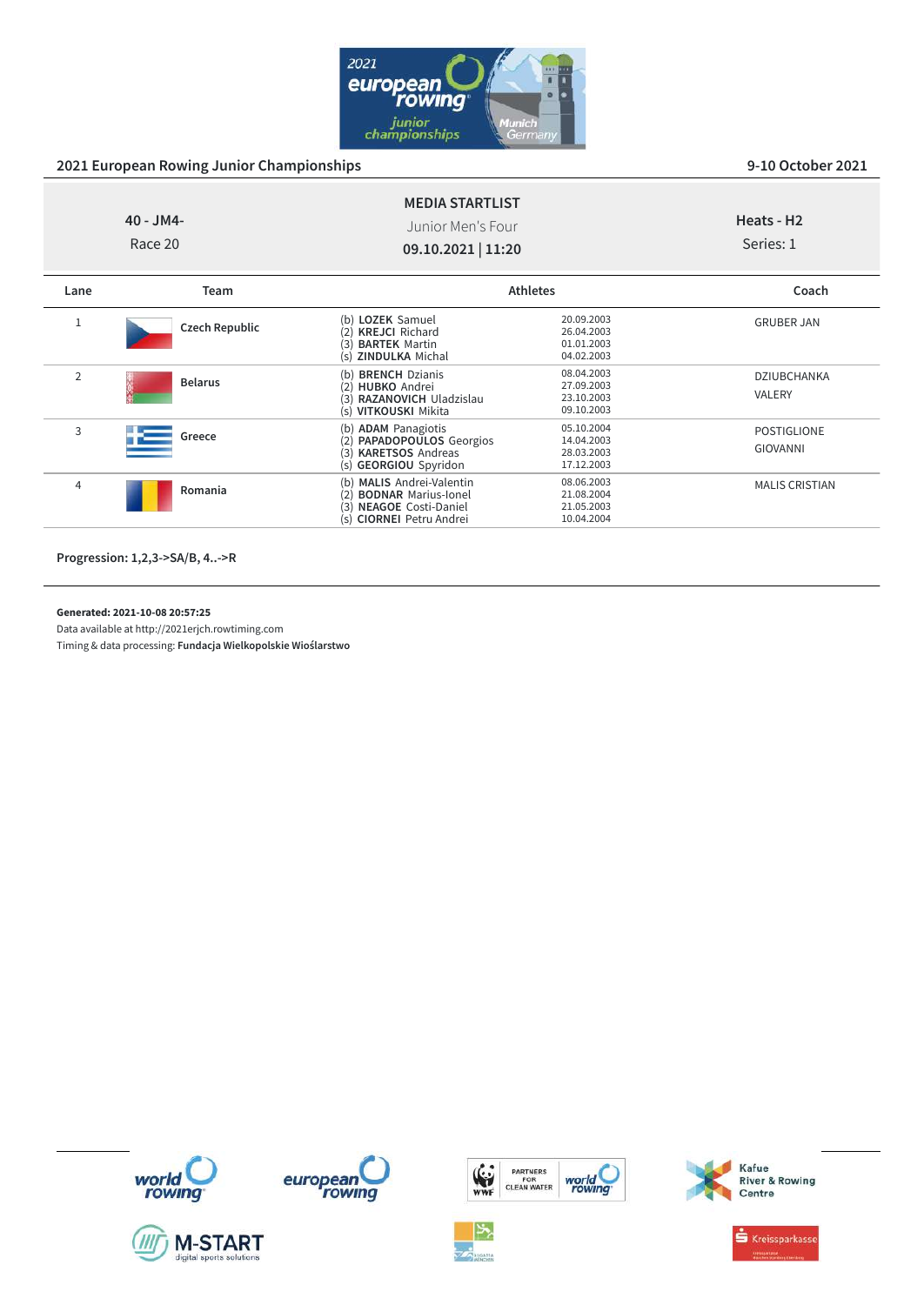

MALIS CRISTIAN

|                | $40 - JM4 -$<br>Race 20 | <b>MEDIA STARTLIST</b><br>Junior Men's Four<br>09.10.2021   11:20                                                       |                                                      | Heats - H <sub>2</sub><br>Series: 1   |
|----------------|-------------------------|-------------------------------------------------------------------------------------------------------------------------|------------------------------------------------------|---------------------------------------|
| Lane           | <b>Team</b>             |                                                                                                                         | <b>Athletes</b>                                      | Coach                                 |
|                | <b>Czech Republic</b>   | (b) LOZEK Samuel<br><b>KREJCI Richard</b><br>3<br><b>BARTEK Martin</b><br>(s) ZINDULKA Michal                           | 20.09.2003<br>26.04.2003<br>01.01.2003<br>04.02.2003 | <b>GRUBER JAN</b>                     |
| $\overline{2}$ | <b>Belarus</b>          | (b) BRENCH Dzianis<br><b>HUBKO</b> Andrei<br>$\mathbf{2}$<br>3)<br>RAZANOVICH Uladzislau<br>(s) <b>VITKOUSKI</b> Mikita | 08.04.2003<br>27.09.2003<br>23.10.2003<br>09.10.2003 | <b>DZIUBCHANKA</b><br><b>VALERY</b>   |
| 3              | Greece                  | (b) ADAM Panagiotis<br>PAPADOPOULOS Georgios<br>$\mathbf{2}$<br><b>KARETSOS Andreas</b><br>3)<br>(s) GEORGIOU Spyridon  | 05.10.2004<br>14.04.2003<br>28.03.2003<br>17.12.2003 | <b>POSTIGLIONE</b><br><b>GIOVANNI</b> |

(b) **MALIS** Andrei-Valentin 08.06.2003 (2) **BODNAR** Marius-Ionel 21.08.2004 (3) **NEAGOE** Costi-Daniel 21.05.2003<br>(5) **CIORNEI** Petru Andrei 10.04.2004

**Progression: 1,2,3->SA/B, 4..->R**

<sup>4</sup> **Romania**

**Generated: 2021-10-08 20:57:25**

Data available at http://2021erjch.rowtiming.com

Timing & data processing: **Fundacja Wielkopolskie Wioślarstwo**















Kafue<br>River & Rowing

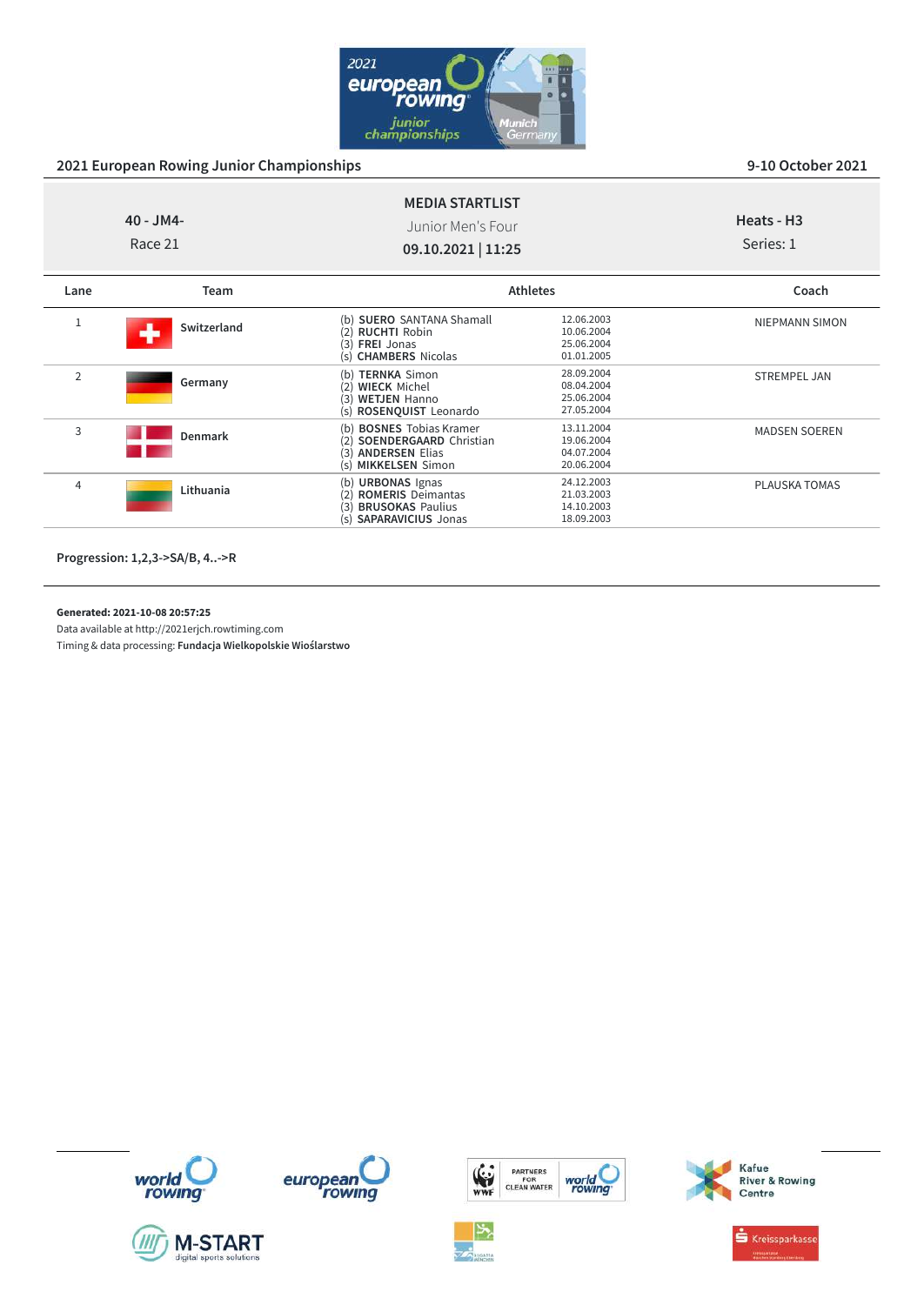

MADSEN SOEREN

PLAUSKA TOMAS

| $40 - JM4 -$<br>Race 21 |             | <b>MEDIA STARTLIST</b><br>Junior Men's Four<br>09.10.2021   11:25                                                 |                                                      | Heats - H <sub>3</sub><br>Series: 1 |
|-------------------------|-------------|-------------------------------------------------------------------------------------------------------------------|------------------------------------------------------|-------------------------------------|
| Lane                    | <b>Team</b> |                                                                                                                   | <b>Athletes</b>                                      | Coach                               |
|                         | Switzerland | (b) SUERO SANTANA Shamall<br><b>RUCHTI Robin</b><br>2)<br>(3)<br>FREI Jonas<br>(s) CHAMBERS Nicolas               | 12.06.2003<br>10.06.2004<br>25.06.2004<br>01.01.2005 | <b>NIEPMANN SIMON</b>               |
| 2                       | Germany     | <b>TERNKA Simon</b><br>(b)<br><b>WIECK Michel</b><br>(2)<br><b>WETJEN Hanno</b><br>(3)<br>(s) ROSENQUIST Leonardo | 28.09.2004<br>08.04.2004<br>25.06.2004<br>27.05.2004 | <b>STREMPEL JAN</b>                 |

(**b) BOSNES** Tobias Kramer 13.11.2004<br>(2) **SOENDERGAARD** Christian 19.06.2004<br>(3) **ANDERSEN** Elias 04.07.2004 (s) **MIKKELSEN** Simon 20.06.2004

(b) **URBONAS** Ignas 24.12.2003 (2) **ROMERIS** Deimantas 21.03.2003 (3) **BRUSOKAS** Paulius 14.10.2003 (s) **SAPARAVICIUS** Jonas 18.09.2003

**Progression: 1,2,3->SA/B, 4..->R**

<sup>3</sup> **Denmark**

<sup>4</sup> **Lithuania**

### **Generated: 2021-10-08 20:57:25**

Data available at http://2021erjch.rowtiming.com

Timing & data processing: **Fundacja Wielkopolskie Wioślarstwo**

















 $\stackrel{\bullet}{\bullet}$  Kreissparkasse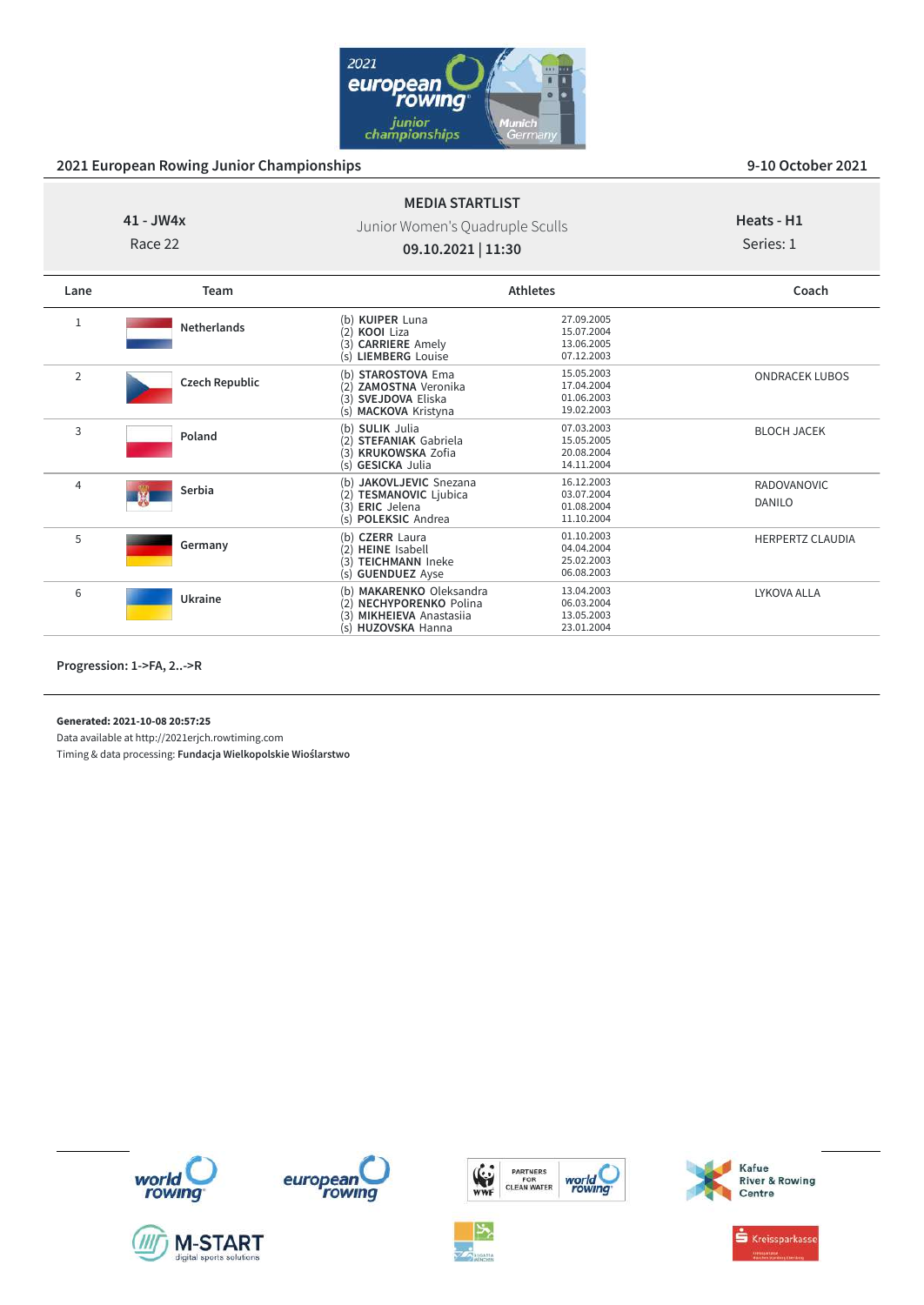

### **41 - JW4x**

Race 22

Junior Women's Quadruple Sculls **09.10.2021 | 11:30**

**MEDIA STARTLIST**

# **Heats - H1**

Series: 1

| Lane           | Team                  |                                                                                                                    | <b>Athletes</b>                                      | Coach                   |
|----------------|-----------------------|--------------------------------------------------------------------------------------------------------------------|------------------------------------------------------|-------------------------|
| 1              | <b>Netherlands</b>    | (b) KUIPER Luna<br><b>KOOI Liza</b><br>(2)<br>(3) CARRIERE Amely<br><b>LIEMBERG</b> Louise<br>(s)                  | 27.09.2005<br>15.07.2004<br>13.06.2005<br>07.12.2003 |                         |
| $\overline{2}$ | <b>Czech Republic</b> | <b>STAROSTOVA Ema</b><br>(h)<br><b>ZAMOSTNA Veronika</b><br>(3) SVEJDOVA Eliska<br>(s) MACKOVA Kristyna            | 15.05.2003<br>17.04.2004<br>01.06.2003<br>19.02.2003 | <b>ONDRACEK LUBOS</b>   |
| 3              | Poland                | (b) SULIK Julia<br><b>STEFANIAK Gabriela</b><br>(2)<br>(3) KRUKOWSKA Zofia<br>(s) GESICKA Julia                    | 07.03.2003<br>15.05.2005<br>20.08.2004<br>14.11.2004 | <b>BLOCH JACEK</b>      |
| 4              | Serbia                | JAKOVLJEVIC Snezana<br>(b)<br><b>TESMANOVIC Ljubica</b><br>(2)<br><b>ERIC</b> Jelena<br>(3)<br>(s) POLEKSIC Andrea | 16.12.2003<br>03.07.2004<br>01.08.2004<br>11.10.2004 | RADOVANOVIC<br>DANILO   |
| 5              | Germany               | (b) CZERR Laura<br><b>HEINE</b> Isabell<br>(2)<br><b>TEICHMANN Ineke</b><br>(3)<br>(s) <b>GUENDUEZ</b> Ayse        | 01.10.2003<br>04.04.2004<br>25.02.2003<br>06.08.2003 | <b>HERPERTZ CLAUDIA</b> |
| 6              | Ukraine               | (b) MAKARENKO Oleksandra<br>(2) NECHYPORENKO Polina<br><b>MIKHEIEVA Anastasija</b><br>(3)<br>(s) HUZOVSKA Hanna    | 13.04.2003<br>06.03.2004<br>13.05.2003<br>23.01.2004 | LYKOVA ALLA             |

**Progression: 1->FA, 2..->R**

**Generated: 2021-10-08 20:57:25**

Data available at http://2021erjch.rowtiming.com

Timing & data processing: **Fundacja Wielkopolskie Wioślarstwo**













**S** Kreissparkasse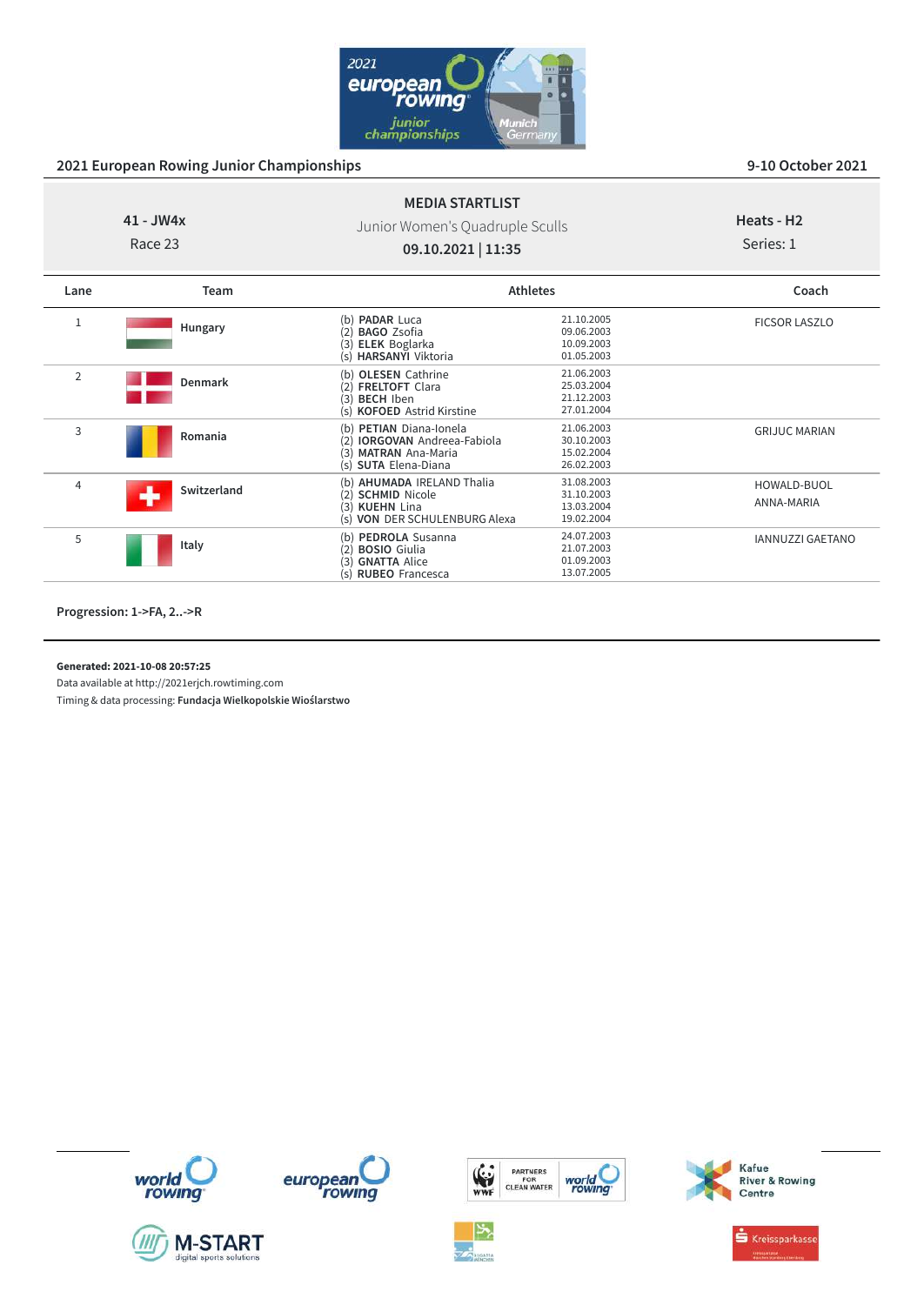

### **41 - JW4x**

Race 23

Junior Women's Quadruple Sculls **09.10.2021 | 11:35**

**MEDIA STARTLIST**

### **Heats - H2** Series: 1

| Lane           | <b>Team</b> | <b>Athletes</b>                                                                                                             |                                                      | Coach                     |
|----------------|-------------|-----------------------------------------------------------------------------------------------------------------------------|------------------------------------------------------|---------------------------|
| 1              | Hungary     | (b) <b>PADAR</b> Luca<br><b>BAGO Zsofia</b><br>(2)<br>(3)<br><b>ELEK</b> Boglarka<br>(s) HARSANYI Viktoria                  | 21.10.2005<br>09.06.2003<br>10.09.2003<br>01.05.2003 | <b>FICSOR LASZLO</b>      |
| $\overline{2}$ | Denmark     | (b) OLESEN Cathrine<br><b>FRELTOFT Clara</b><br>(2)<br>(3) BECH Iben<br>(s) <b>KOFOED</b> Astrid Kirstine                   | 21.06.2003<br>25.03.2004<br>21.12.2003<br>27.01.2004 |                           |
| 3              | Romania     | (b) PETIAN Diana-Ionela<br><b>IORGOVAN</b> Andreea-Fabiola<br>(2)<br><b>MATRAN</b> Ana-Maria<br>(3)<br>(s) SUTA Elena-Diana | 21.06.2003<br>30.10.2003<br>15.02.2004<br>26.02.2003 | <b>GRIJUC MARIAN</b>      |
| $\overline{4}$ | Switzerland | (b) AHUMADA IRELAND Thalia<br>(2) SCHMID Nicole<br>(3) KUEHN Lina<br>(s) VON DER SCHULENBURG Alexa                          | 31.08.2003<br>31.10.2003<br>13.03.2004<br>19.02.2004 | HOWALD-BUOL<br>ANNA-MARIA |
| 5              | Italy       | (b) PEDROLA Susanna<br><b>BOSIO</b> Giulia<br>(2)<br><b>GNATTA Alice</b><br>(3)<br>(s) RUBEO Francesca                      | 24.07.2003<br>21.07.2003<br>01.09.2003<br>13.07.2005 | <b>IANNUZZI GAETANO</b>   |

**Progression: 1->FA, 2..->R**

**Generated: 2021-10-08 20:57:25**

Data available at http://2021erjch.rowtiming.com













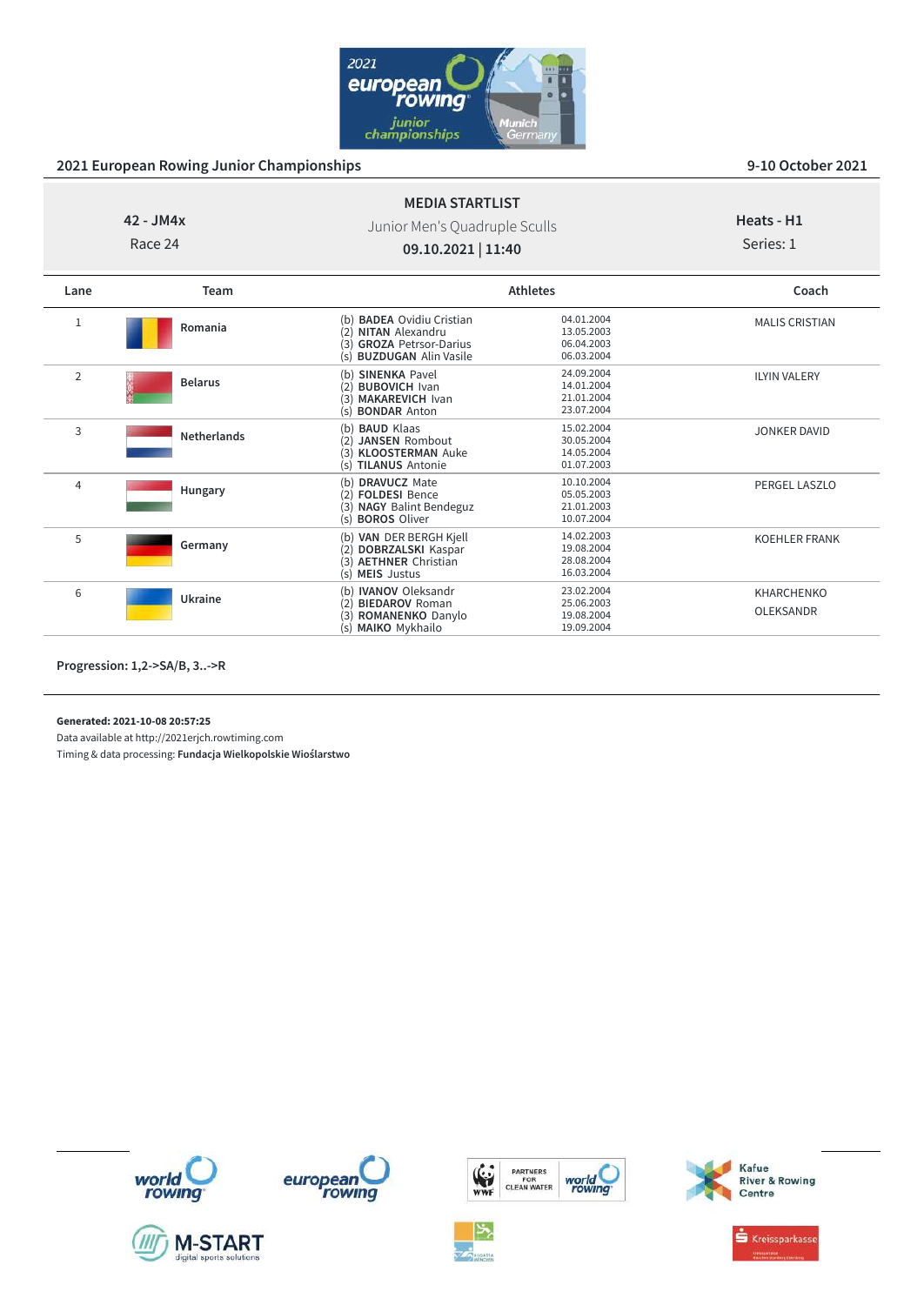

### **42 - JM4x** Race 24 **MEDIA STARTLIST** Junior Men's Quadruple Sculls **09.10.2021 | 11:40 Heats - H1** Series: 1 **Lane Team Athletes Coach** <sup>1</sup> **Romania** (**b) BADEA** Ovidiu Cristian 04.01.2004<br>
(2) **NITAN** Alexandru 13.05.2003<br>
(3) **GROZA** Petrsor-Darius 06.04.2003 MALIS CRISTIAN

|                |                    | (s) <b>BUZDUGAN</b> Alin Vasile                                                                                            | 06.03.2004                                           |                                       |
|----------------|--------------------|----------------------------------------------------------------------------------------------------------------------------|------------------------------------------------------|---------------------------------------|
| $\overline{2}$ | <b>Belarus</b>     | <b>SINENKA Pavel</b><br>(b)<br><b>BUBOVICH Ivan</b><br>つ)<br><b>MAKAREVICH Ivan</b><br>3)<br>(s) <b>BONDAR</b> Anton       | 24.09.2004<br>14.01.2004<br>21.01.2004<br>23.07.2004 | <b>ILYIN VALERY</b>                   |
| 3              | <b>Netherlands</b> | <b>BAUD Klaas</b><br>(b)<br><b>JANSEN Rombout</b><br>(2)<br><b>KLOOSTERMAN Auke</b><br>3)<br><b>TILANUS Antonie</b><br>(s) | 15.02.2004<br>30.05.2004<br>14.05.2004<br>01.07.2003 | <b>JONKER DAVID</b>                   |
| 4              | Hungary            | <b>DRAVUCZ Mate</b><br>(b)<br><b>FOLDESI Bence</b><br>(2)<br><b>NAGY Balint Bendeguz</b><br>(3)<br>(s) <b>BOROS</b> Oliver | 10.10.2004<br>05.05.2003<br>21.01.2003<br>10.07.2004 | PERGEL LASZLO                         |
| 5              | Germany            | VAN DER BERGH Kjell<br>(b)<br><b>DOBRZALSKI</b> Kaspar<br>ור<br><b>AETHNER Christian</b><br>(3)<br>(s) MEIS Justus         | 14.02.2003<br>19.08.2004<br>28.08.2004<br>16.03.2004 | KOEHLER FRANK                         |
| 6              | Ukraine            | <b>IVANOV</b> Oleksandr<br>(b)<br><b>BIEDAROV Roman</b><br>(2)<br>ROMANENKO Danylo<br>3)<br>(s) MAIKO Mykhailo             | 23.02.2004<br>25.06.2003<br>19.08.2004<br>19.09.2004 | <b>KHARCHENKO</b><br><b>OLEKSANDR</b> |

**Progression: 1,2->SA/B, 3..->R**

**Generated: 2021-10-08 20:57:25**

Data available at http://2021erjch.rowtiming.com













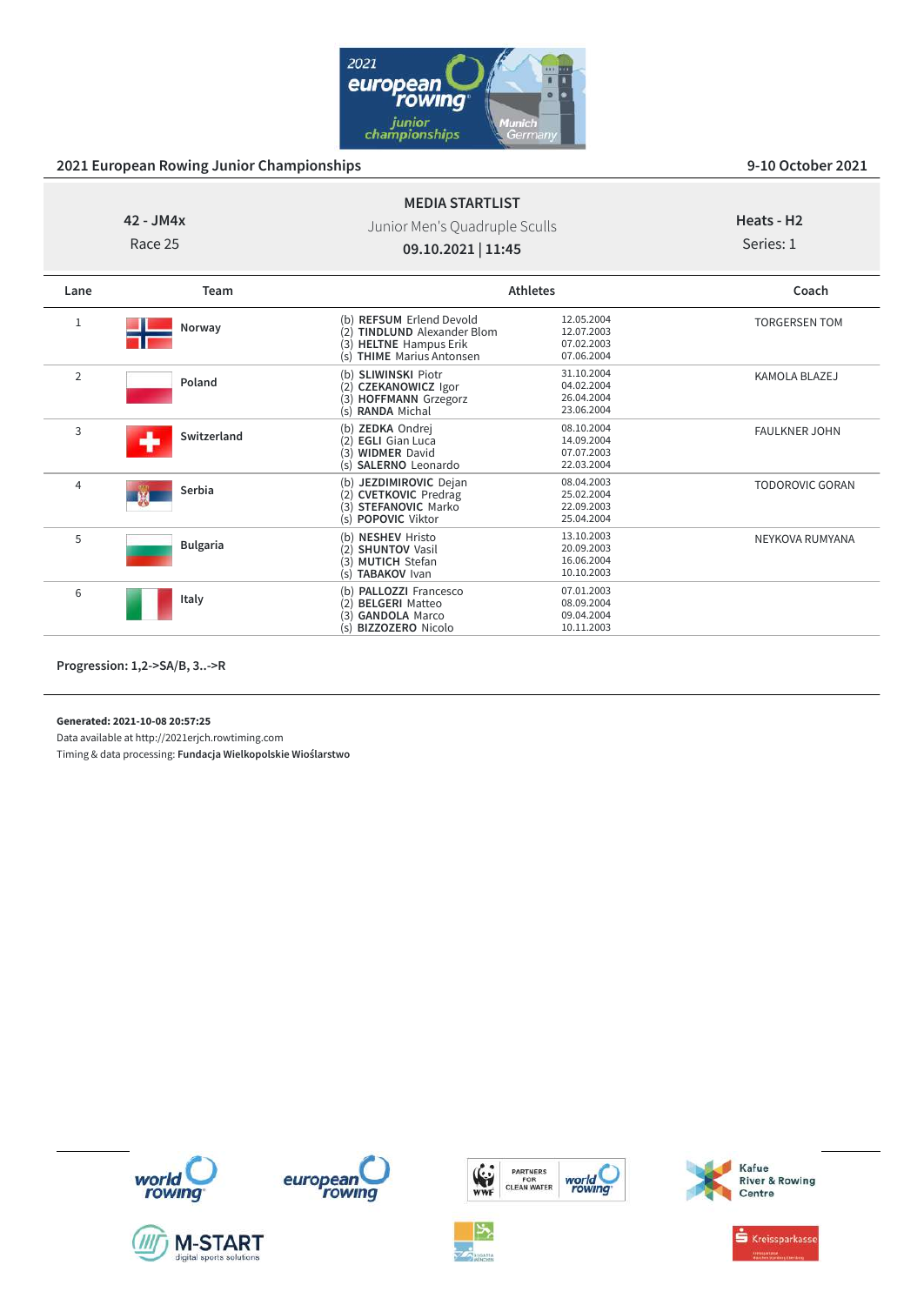

## **42 - JM4x**

Race 25

## Junior Men's Quadruple Sculls **09.10.2021 | 11:45**

**MEDIA STARTLIST**

# **Heats - H2**

Series: 1

| Lane         | Team            |                                                                                                                                                 | <b>Athletes</b>                                      |                        |
|--------------|-----------------|-------------------------------------------------------------------------------------------------------------------------------------------------|------------------------------------------------------|------------------------|
| $\mathbf{1}$ | Norway          | (b) REFSUM Erlend Devold<br><b>TINDLUND</b> Alexander Blom<br><b>HELTNE</b> Hampus Erik<br>(3)<br><b>THIME</b> Marius Antonsen<br>$(\varsigma)$ | 12.05.2004<br>12.07.2003<br>07.02.2003<br>07.06.2004 | <b>TORGERSEN TOM</b>   |
| 2            | Poland          | (b) SLIWINSKI Piotr<br><b>CZEKANOWICZ Igor</b><br>(2)<br><b>HOFFMANN Grzegorz</b><br>(3)<br>(s) RANDA Michal                                    | 31.10.2004<br>04.02.2004<br>26.04.2004<br>23.06.2004 | KAMOLA BLAZEJ          |
| 3            | Switzerland     | (b) ZEDKA Ondrej<br><b>EGLI</b> Gian Luca<br>(2)<br><b>WIDMER David</b><br>(3)<br><b>SALERNO</b> Leonardo<br>$(\varsigma)$                      | 08.10.2004<br>14.09.2004<br>07.07.2003<br>22.03.2004 | <b>FAULKNER JOHN</b>   |
| 4            | Serbia          | JEZDIMIROVIC Dejan<br>(b)<br>(2) CVETKOVIC Predrag<br><b>STEFANOVIC Marko</b><br>(3)<br>(s) <b>POPOVIC</b> Viktor                               | 08.04.2003<br>25.02.2004<br>22.09.2003<br>25.04.2004 | <b>TODOROVIC GORAN</b> |
| 5            | <b>Bulgaria</b> | (b) NESHEV Hristo<br><b>SHUNTOV Vasil</b><br>(2)<br><b>MUTICH Stefan</b><br>(3)<br><b>TABAKOV Ivan</b><br>(s)                                   | 13.10.2003<br>20.09.2003<br>16.06.2004<br>10.10.2003 | NEYKOVA RUMYANA        |
| 6            | Italy           | <b>PALLOZZI Francesco</b><br>(b)<br><b>BELGERI Matteo</b><br>(2)<br><b>GANDOLA Marco</b><br>(3)<br><b>BIZZOZERO</b> Nicolo                      | 07.01.2003<br>08.09.2004<br>09.04.2004<br>10.11.2003 |                        |

**Progression: 1,2->SA/B, 3..->R**

**Generated: 2021-10-08 20:57:25**

Data available at http://2021erjch.rowtiming.com













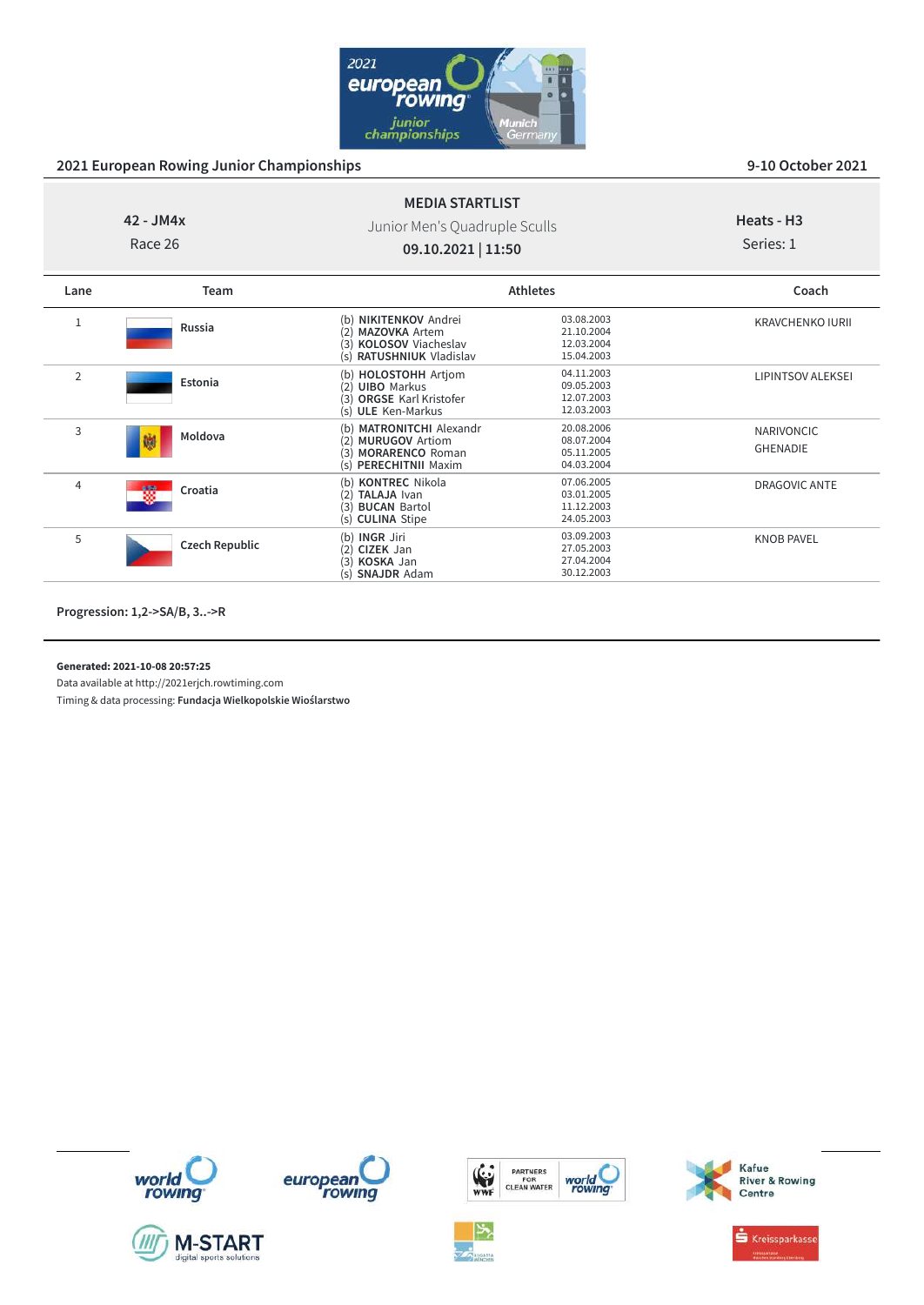

# **42 - JM4x**

Race 26

## Junior Men's Quadruple Sculls **09.10.2021 | 11:50**

**MEDIA STARTLIST**

# **Heats - H3**

Series: 1

| Lane           | Team                  | <b>Athletes</b>                                                                                                            |                                                      | Coach                                |
|----------------|-----------------------|----------------------------------------------------------------------------------------------------------------------------|------------------------------------------------------|--------------------------------------|
| 1              | Russia                | (b) <b>NIKITENKOV</b> Andrei<br><b>MAZOVKA Artem</b><br>2)<br>(3)<br><b>KOLOSOV</b> Viacheslav<br>(s) RATUSHNIUK Vladislav | 03.08.2003<br>21.10.2004<br>12.03.2004<br>15.04.2003 | <b>KRAVCHENKO IURII</b>              |
| $\overline{2}$ | Estonia               | (b) HOLOSTOHH Artjom<br>(2) UIBO Markus<br>(3) ORGSE Karl Kristofer<br>(s) ULE Ken-Markus                                  | 04.11.2003<br>09.05.2003<br>12.07.2003<br>12.03.2003 | <b>LIPINTSOV ALEKSEI</b>             |
| 3              | Moldova<br>鱜          | <b>MATRONITCHI</b> Alexandr<br>(b)<br><b>MURUGOV Artiom</b><br>(2)<br>(3) MORARENCO Roman<br>(s) PERECHITNII Maxim         | 20.08.2006<br>08.07.2004<br>05.11.2005<br>04.03.2004 | <b>NARIVONCIC</b><br><b>GHENADIE</b> |
| 4              | 檹<br>Croatia          | (b) KONTREC Nikola<br>(2)<br><b>TALAJA</b> Ivan<br>(3) BUCAN Bartol<br>(s) CULINA Stipe                                    | 07.06.2005<br>03.01.2005<br>11.12.2003<br>24.05.2003 | <b>DRAGOVIC ANTE</b>                 |
| 5              | <b>Czech Republic</b> | (b) <b>INGR</b> Jiri<br>(2) CIZEK Jan<br>KOSKA Jan<br>(3)<br><b>SNAJDR</b> Adam<br>(s)                                     | 03.09.2003<br>27.05.2003<br>27.04.2004<br>30.12.2003 | <b>KNOB PAVEL</b>                    |

**Progression: 1,2->SA/B, 3..->R**

**Generated: 2021-10-08 20:57:25**

Data available at http://2021erjch.rowtiming.com













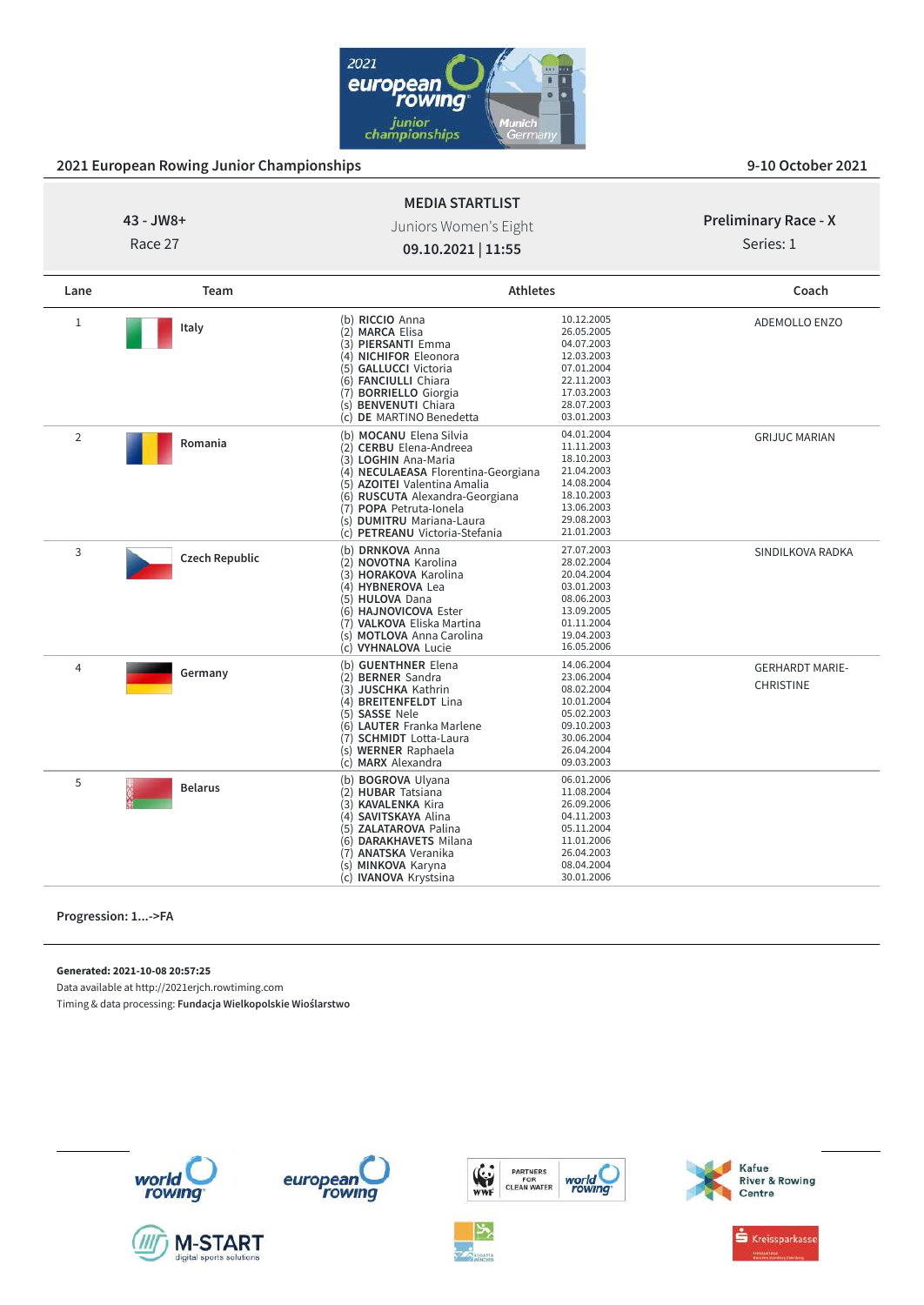

| ozi zuropean nowing oannor enampionsinpe |                       |                                                                                                                                                                                                                                                                                |                                                                                                                            |                                            |  |
|------------------------------------------|-----------------------|--------------------------------------------------------------------------------------------------------------------------------------------------------------------------------------------------------------------------------------------------------------------------------|----------------------------------------------------------------------------------------------------------------------------|--------------------------------------------|--|
|                                          |                       | <b>MEDIA STARTLIST</b>                                                                                                                                                                                                                                                         |                                                                                                                            |                                            |  |
| 43 - JW8+<br>Race 27                     |                       | Juniors Women's Eight                                                                                                                                                                                                                                                          |                                                                                                                            |                                            |  |
|                                          |                       |                                                                                                                                                                                                                                                                                |                                                                                                                            | Series: 1                                  |  |
|                                          |                       | 09.10.2021   11:55                                                                                                                                                                                                                                                             |                                                                                                                            |                                            |  |
| Lane                                     | Team                  | <b>Athletes</b>                                                                                                                                                                                                                                                                |                                                                                                                            | Coach                                      |  |
| $\mathbf{1}$                             | Italy                 | (b) RICCIO Anna<br>(2) MARCA Elisa<br>(3) PIERSANTI Emma<br>(4) NICHIFOR Eleonora<br>(5) GALLUCCI Victoria<br>(6) FANCIULLI Chiara<br>(7) BORRIELLO Giorgia<br>(s) <b>BENVENUTI</b> Chiara<br>(c) DE MARTINO Benedetta                                                         | 10.12.2005<br>26.05.2005<br>04.07.2003<br>12.03.2003<br>07.01.2004<br>22.11.2003<br>17.03.2003<br>28.07.2003<br>03.01.2003 | <b>ADEMOLLO ENZO</b>                       |  |
| $\overline{2}$                           | Romania               | (b) MOCANU Elena Silvia<br>(2) CERBU Elena-Andreea<br>(3) LOGHIN Ana-Maria<br>(4) NECULAEASA Florentina-Georgiana<br>(5) AZOITEI Valentina Amalia<br>(6) RUSCUTA Alexandra-Georgiana<br>(7) POPA Petruta-Jonela<br>(s) DUMITRU Mariana-Laura<br>(c) PETREANU Victoria-Stefania | 04.01.2004<br>11.11.2003<br>18.10.2003<br>21.04.2003<br>14.08.2004<br>18.10.2003<br>13.06.2003<br>29.08.2003<br>21.01.2003 | <b>GRIJUC MARIAN</b>                       |  |
| 3                                        | <b>Czech Republic</b> | (b) DRNKOVA Anna<br>(2) NOVOTNA Karolina<br>(3) HORAKOVA Karolina<br>(4) HYBNEROVA Lea<br>(5) HULOVA Dana<br>(6) HAJNOVICOVA Ester<br>(7) VALKOVA Eliska Martina<br>(s) MOTLOVA Anna Carolina<br>(c) VYHNALOVA Lucie                                                           | 27.07.2003<br>28.02.2004<br>20.04.2004<br>03.01.2003<br>08.06.2003<br>13.09.2005<br>01.11.2004<br>19.04.2003<br>16.05.2006 | SINDILKOVA RADKA                           |  |
| $\overline{4}$                           | Germany               | (b) GUENTHNER Elena<br>(2) BERNER Sandra<br>(3) JUSCHKA Kathrin<br>(4) BREITENFELDT Lina<br>(5) SASSE Nele<br>(6) LAUTER Franka Marlene<br>(7) SCHMIDT Lotta-Laura<br>(s) WERNER Raphaela<br>(c) MARX Alexandra                                                                | 14.06.2004<br>23.06.2004<br>08.02.2004<br>10.01.2004<br>05.02.2003<br>09.10.2003<br>30.06.2004<br>26.04.2004<br>09.03.2003 | <b>GERHARDT MARIE-</b><br><b>CHRISTINE</b> |  |
| 5                                        | <b>Belarus</b>        | (b) BOGROVA Ulyana<br>(2) HUBAR Tatsiana<br>(3) KAVALENKA Kira<br>(4) SAVITSKAYA Alina<br>(5) ZALATAROVA Palina<br>(6) DARAKHAVETS Milana<br>(7) ANATSKA Veranika<br>(s) MINKOVA Karyna<br>(c) <b>IVANOVA</b> Krystsina                                                        | 06.01.2006<br>11.08.2004<br>26.09.2006<br>04.11.2003<br>05.11.2004<br>11.01.2006<br>26.04.2003<br>08.04.2004<br>30.01.2006 |                                            |  |

**Progression: 1...->FA**

**Generated: 2021-10-08 20:57:25**

Data available at http://2021erjch.rowtiming.com

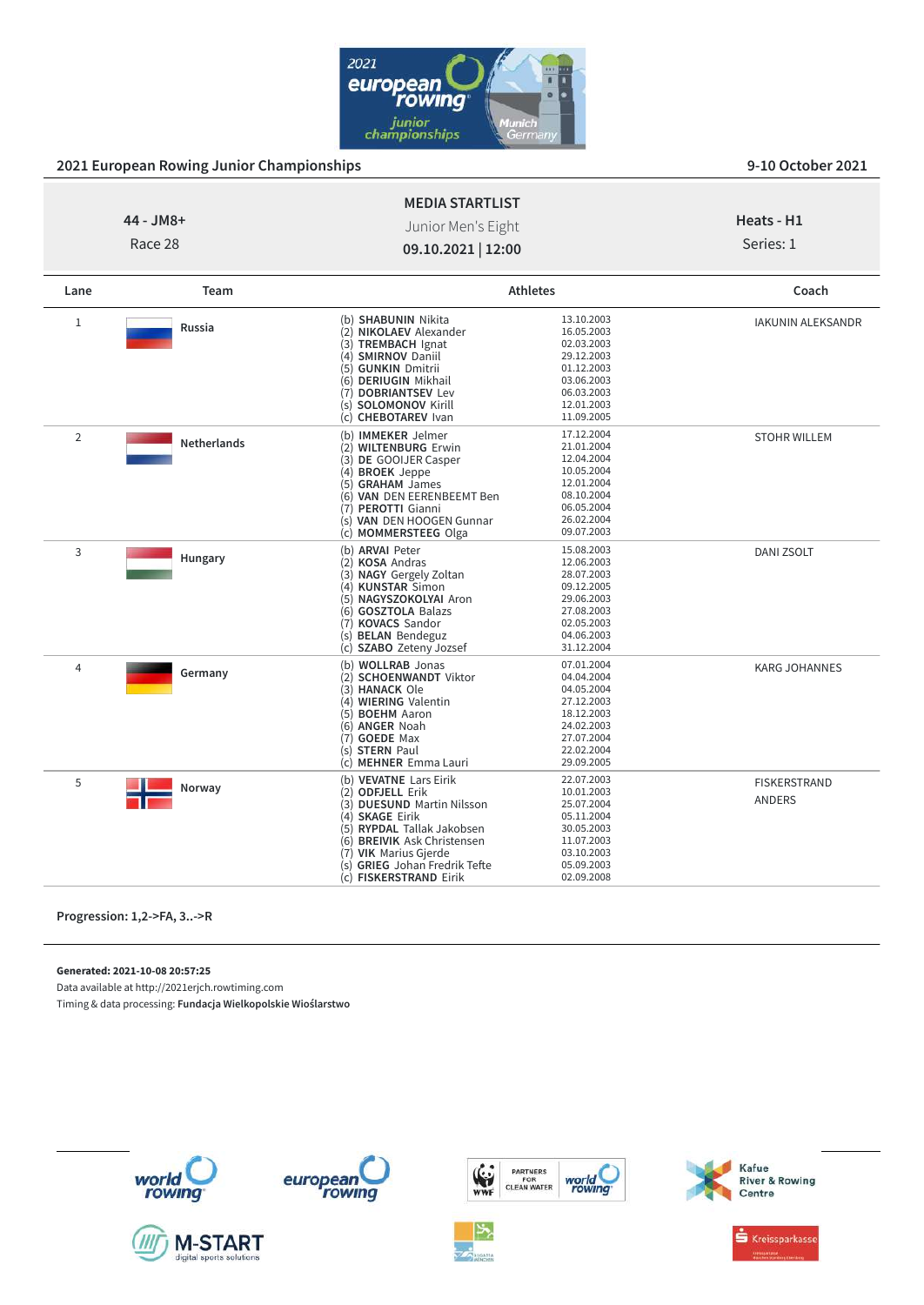

|             |                    | <b>MEDIA STARTLIST</b>                                                                                                                                                                                                                       |                                                                                                                            |                                      |
|-------------|--------------------|----------------------------------------------------------------------------------------------------------------------------------------------------------------------------------------------------------------------------------------------|----------------------------------------------------------------------------------------------------------------------------|--------------------------------------|
| 44 - JM8+   |                    | Junior Men's Eight                                                                                                                                                                                                                           |                                                                                                                            | Heats - H1                           |
|             | Race 28            |                                                                                                                                                                                                                                              |                                                                                                                            | Series: 1                            |
|             |                    | 09.10.2021   12:00                                                                                                                                                                                                                           |                                                                                                                            |                                      |
| Lane        | Team               |                                                                                                                                                                                                                                              | <b>Athletes</b>                                                                                                            | Coach                                |
| $\mathbf 1$ | <b>Russia</b>      | (b) SHABUNIN Nikita<br>(2) NIKOLAEV Alexander<br>(3) TREMBACH Ignat<br>(4) SMIRNOV Daniil<br>(5) GUNKIN Dmitrii<br>(6) DERIUGIN Mikhail<br>(7) DOBRIANTSEV Lev<br>(s) <b>SOLOMONOV</b> Kirill<br>(c) CHEBOTAREV Ivan                         | 13.10.2003<br>16.05.2003<br>02.03.2003<br>29.12.2003<br>01.12.2003<br>03.06.2003<br>06.03.2003<br>12.01.2003<br>11.09.2005 | IAKUNIN ALEKSANDR                    |
| 2           | <b>Netherlands</b> | (b) IMMEKER Jelmer<br>(2) WILTENBURG Erwin<br>(3) DE GOOIJER Casper<br>(4) BROEK Jeppe<br>(5) GRAHAM James<br>(6) VAN DEN EERENBEEMT Ben<br>(7) PEROTTI Gianni<br>(s) VAN DEN HOOGEN Gunnar<br>(c) MOMMERSTEEG Olga                          | 17.12.2004<br>21.01.2004<br>12.04.2004<br>10.05.2004<br>12.01.2004<br>08.10.2004<br>06.05.2004<br>26.02.2004<br>09.07.2003 | <b>STOHR WILLEM</b>                  |
| 3           | Hungary            | (b) ARVAI Peter<br>(2) KOSA Andras<br>(3) NAGY Gergely Zoltan<br>(4) KUNSTAR Simon<br>(5) NAGYSZOKOLYAI Aron<br>(6) GOSZTOLA Balazs<br>(7) KOVACS Sandor<br>(s) <b>BELAN</b> Bendeguz<br>(c) SZABO Zeteny Jozsef                             | 15.08.2003<br>12.06.2003<br>28.07.2003<br>09.12.2005<br>29.06.2003<br>27.08.2003<br>02.05.2003<br>04.06.2003<br>31.12.2004 | <b>DANI ZSOLT</b>                    |
| 4           | Germany            | (b) WOLLRAB Jonas<br>(2) SCHOENWANDT Viktor<br>(3) HANACK Ole<br>(4) WIERING Valentin<br>(5) BOEHM Aaron<br>(6) ANGER Noah<br>(7) GOEDE Max<br>(s) STERN Paul<br>(c) MEHNER Emma Lauri                                                       | 07.01.2004<br>04.04.2004<br>04.05.2004<br>27.12.2003<br>18.12.2003<br>24.02.2003<br>27.07.2004<br>22.02.2004<br>29.09.2005 | <b>KARG JOHANNES</b>                 |
| 5           | Norway             | (b) VEVATNE Lars Eirik<br>(2) ODFJELL Erik<br>(3) DUESUND Martin Nilsson<br>(4) SKAGE Eirik<br>(5) RYPDAL Tallak Jakobsen<br>(6) BREIVIK Ask Christensen<br>(7) VIK Marius Gjerde<br>(s) GRIEG Johan Fredrik Tefte<br>(c) FISKERSTRAND Eirik | 22.07.2003<br>10.01.2003<br>25.07.2004<br>05.11.2004<br>30.05.2003<br>11.07.2003<br>03.10.2003<br>05.09.2003<br>02.09.2008 | <b>FISKERSTRAND</b><br><b>ANDERS</b> |

**Progression: 1,2->FA, 3..->R**

**Generated: 2021-10-08 20:57:25**

Data available at http://2021erjch.rowtiming.com